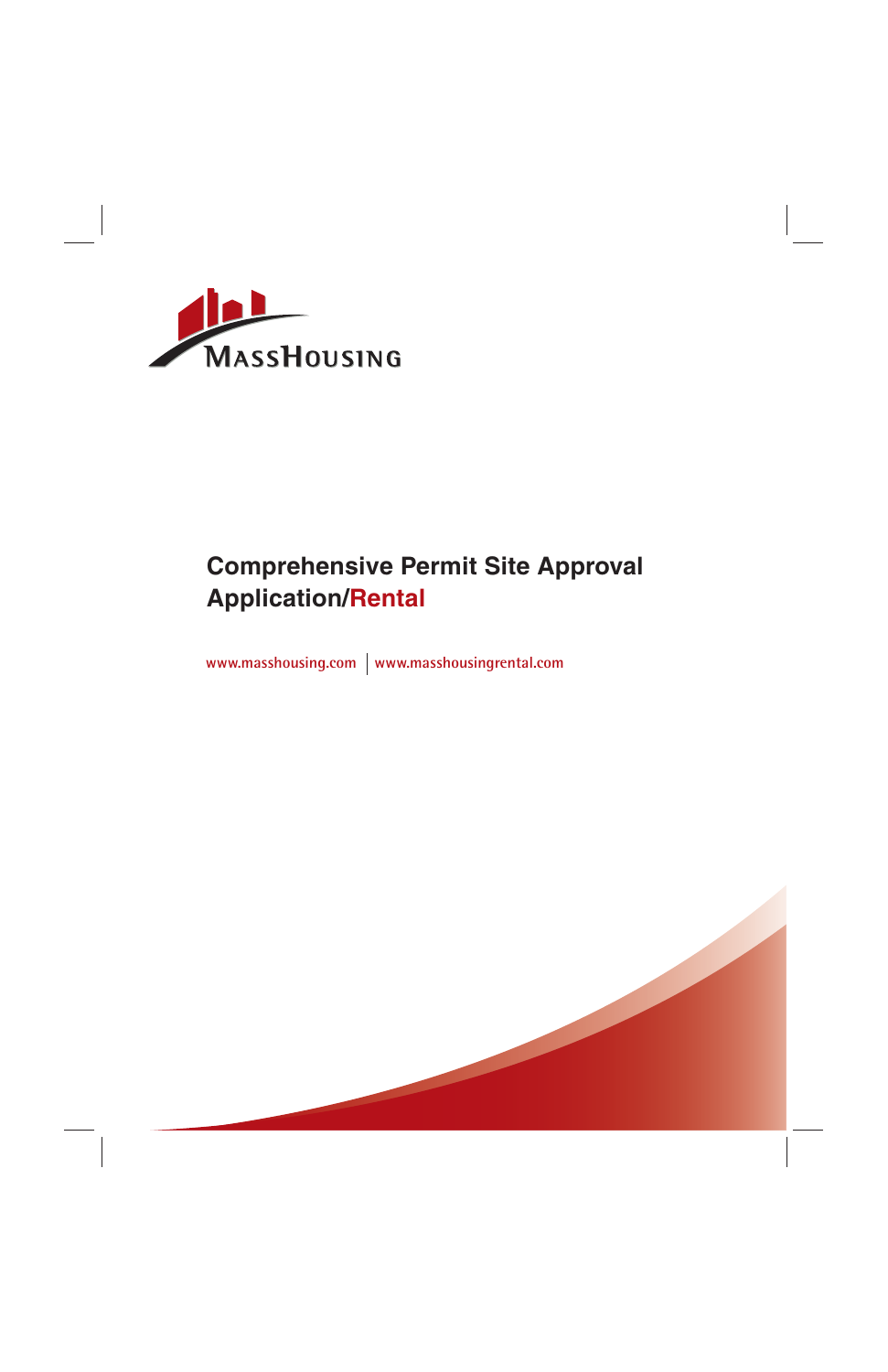

# **Comprehensive Permit Site Approval Application/Rental**

www.masshousing.com | www.masshousingrental.com

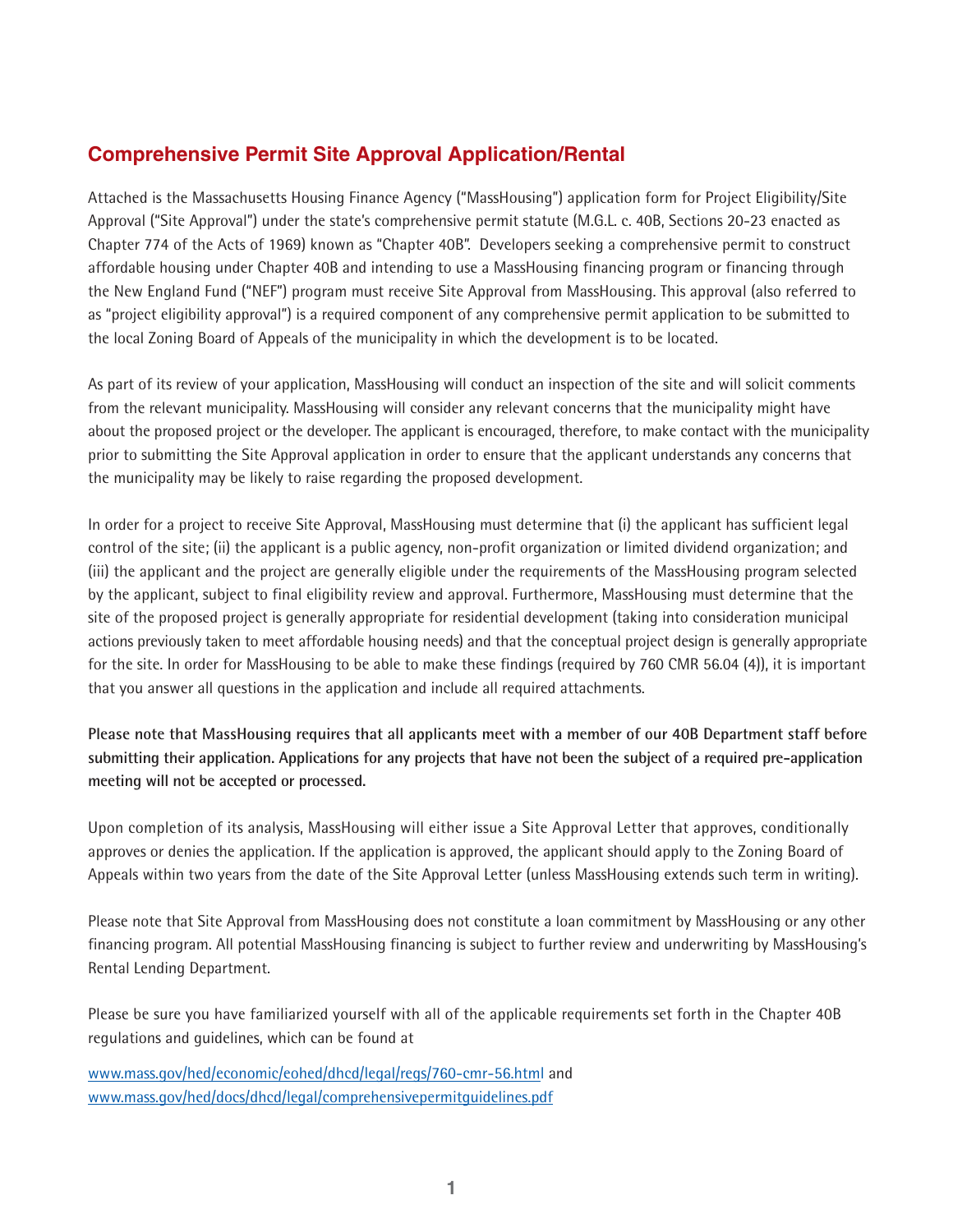# **Comprehensive Permit Site Approval Application/Rental**

Attached is the Massachusetts Housing Finance Agency ("MassHousing") application form for Project Eligibility/Site Approval ("Site Approval") under the state's comprehensive permit statute (M.G.L. c. 40B, Sections 20-23 enacted as Chapter 774 of the Acts of 1969) known as "Chapter 40B". Developers seeking a comprehensive permit to construct affordable housing under Chapter 40B and intending to use a MassHousing financing program or financing through the New England Fund ("NEF") program must receive Site Approval from MassHousing. This approval (also referred to as "project eligibility approval") is a required component of any comprehensive permit application to be submitted to the local Zoning Board of Appeals of the municipality in which the development is to be located.

As part of its review of your application, MassHousing will conduct an inspection of the site and will solicit comments from the relevant municipality. MassHousing will consider any relevant concerns that the municipality might have about the proposed project or the developer. The applicant is encouraged, therefore, to make contact with the municipality prior to submitting the Site Approval application in order to ensure that the applicant understands any concerns that the municipality may be likely to raise regarding the proposed development.

In order for a project to receive Site Approval, MassHousing must determine that (i) the applicant has sufficient legal control of the site; (ii) the applicant is a public agency, non-profit organization or limited dividend organization; and (iii) the applicant and the project are generally eligible under the requirements of the MassHousing program selected by the applicant, subject to final eligibility review and approval. Furthermore, MassHousing must determine that the site of the proposed project is generally appropriate for residential development (taking into consideration municipal actions previously taken to meet affordable housing needs) and that the conceptual project design is generally appropriate for the site. In order for MassHousing to be able to make these findings (required by 760 CMR 56.04 (4)), it is important that you answer all questions in the application and include all required attachments.

**Please note that MassHousing requires that all applicants meet with a member of our 40B Department staff before submitting their application. Applications for any projects that have not been the subject of a required pre-application meeting will not be accepted or processed.** 

Upon completion of its analysis, MassHousing will either issue a Site Approval Letter that approves, conditionally approves or denies the application. If the application is approved, the applicant should apply to the Zoning Board of Appeals within two years from the date of the Site Approval Letter (unless MassHousing extends such term in writing).

Please note that Site Approval from MassHousing does not constitute a loan commitment by MassHousing or any other financing program. All potential MassHousing financing is subject to further review and underwriting by MassHousing's Rental Lending Department.

Please be sure you have familiarized yourself with all of the applicable requirements set forth in the Chapter 40B regulations and guidelines, which can be found at

www.mass.gov/hed/economic/eohed/dhcd/legal/regs/760-cmr-56.html and www.mass.gov/hed/docs/dhcd/legal/comprehensivepermitguidelines.pdf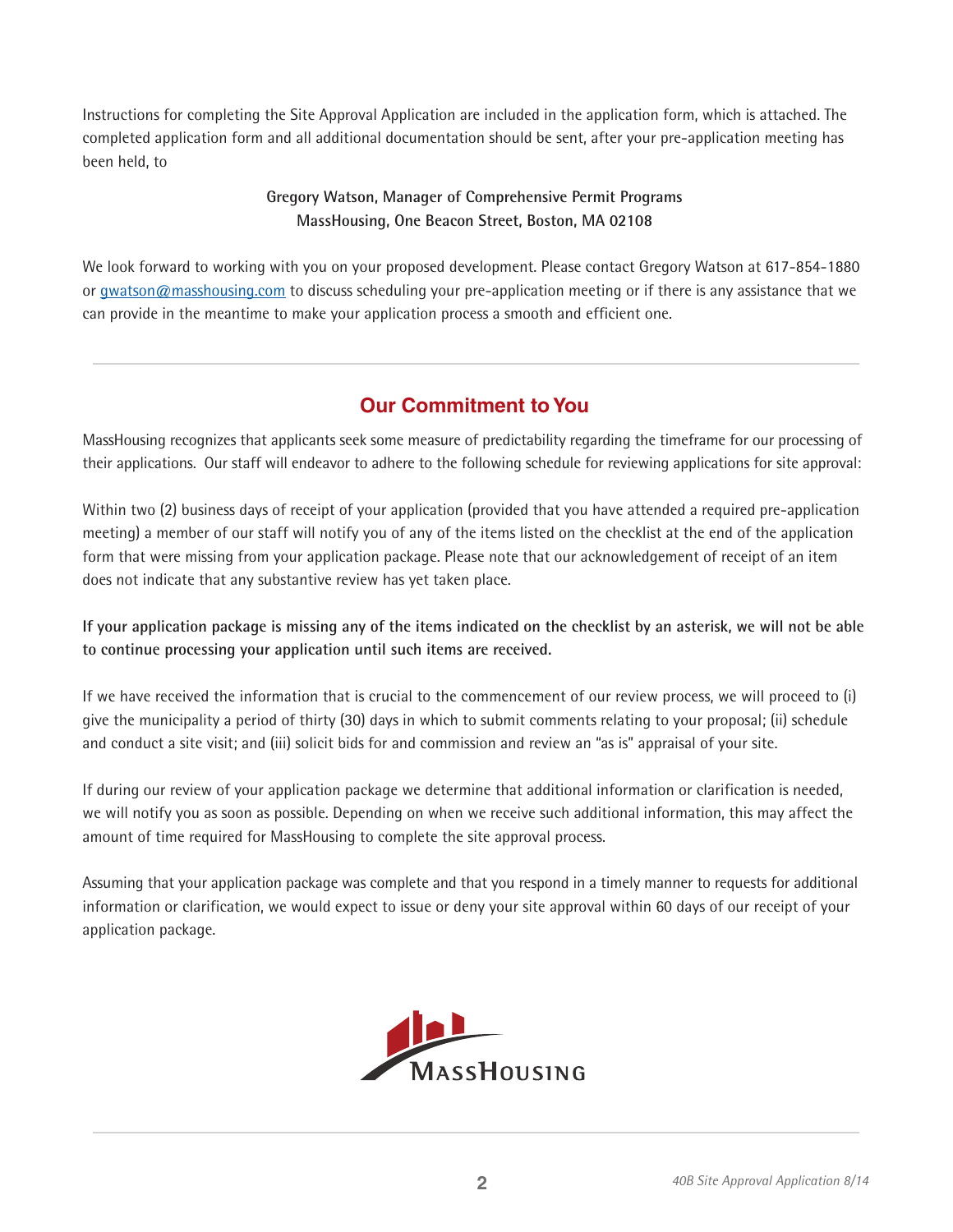Instructions for completing the Site Approval Application are included in the application form, which is attached. The completed application form and all additional documentation should be sent, after your pre-application meeting has been held, to

# **Gregory Watson, Manager of Comprehensive Permit Programs MassHousing, One Beacon Street, Boston, MA 02108**

We look forward to working with you on your proposed development. Please contact Gregory Watson at 617-854-1880 or gwatson@masshousing.com to discuss scheduling your pre-application meeting or if there is any assistance that we can provide in the meantime to make your application process a smooth and efficient one.

# **Our Commitment to You**

MassHousing recognizes that applicants seek some measure of predictability regarding the timeframe for our processing of their applications. Our staff will endeavor to adhere to the following schedule for reviewing applications for site approval:

Within two (2) business days of receipt of your application (provided that you have attended a required pre-application meeting) a member of our staff will notify you of any of the items listed on the checklist at the end of the application form that were missing from your application package. Please note that our acknowledgement of receipt of an item does not indicate that any substantive review has yet taken place.

**If your application package is missing any of the items indicated on the checklist by an asterisk, we will not be able to continue processing your application until such items are received.** 

If we have received the information that is crucial to the commencement of our review process, we will proceed to (i) give the municipality a period of thirty (30) days in which to submit comments relating to your proposal; (ii) schedule and conduct a site visit; and (iii) solicit bids for and commission and review an "as is" appraisal of your site.

If during our review of your application package we determine that additional information or clarification is needed, we will notify you as soon as possible. Depending on when we receive such additional information, this may affect the amount of time required for MassHousing to complete the site approval process.

Assuming that your application package was complete and that you respond in a timely manner to requests for additional information or clarification, we would expect to issue or deny your site approval within 60 days of our receipt of your application package.

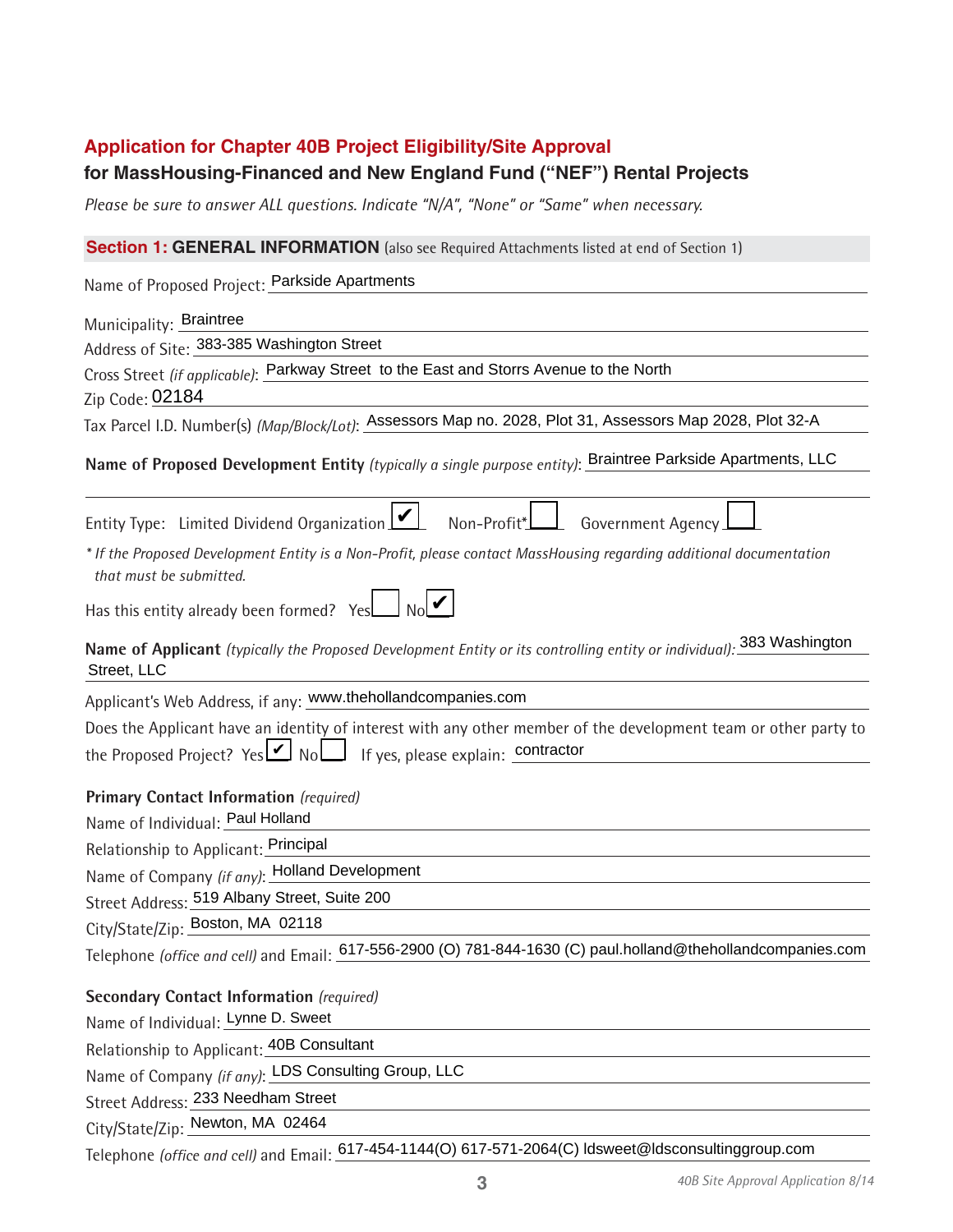# **Application for Chapter 40B Project Eligibility/Site Approval**

# **for MassHousing-Financed and New England Fund ("NEF") Rental Projects**

*Please be sure to answer ALL questions. Indicate "N/A", "None" or "Same" when necessary.*

# **Section 1: GENERAL INFORMATION** (also see Required Attachments listed at end of Section 1)

Name of Proposed Project: Parkside Apartments

| Municipality: Braintree                                                                                                                        |
|------------------------------------------------------------------------------------------------------------------------------------------------|
| Address of Site: 383-385 Washington Street                                                                                                     |
| Cross Street (if applicable): Parkway Street to the East and Storrs Avenue to the North                                                        |
| Zip Code: 02184                                                                                                                                |
| Tax Parcel I.D. Number(s) (Map/Block/Lot): Assessors Map no. 2028, Plot 31, Assessors Map 2028, Plot 32-A                                      |
| Name of Proposed Development Entity (typically a single purpose entity): Braintree Parkside Apartments, LLC                                    |
| Entity Type: Limited Dividend Organization [14]<br>Non-Profit*<br>Government Agency                                                            |
| * If the Proposed Development Entity is a Non-Profit, please contact MassHousing regarding additional documentation<br>that must be submitted. |
| Has this entity already been formed? Yes                                                                                                       |
| Name of Applicant (typically the Proposed Development Entity or its controlling entity or individual): 383 Washington<br>Street, LLC           |
| Applicant's Web Address, if any: www.thehollandcompanies.com                                                                                   |
| Does the Applicant have an identity of interest with any other member of the development team or other party to                                |
|                                                                                                                                                |
| <b>Primary Contact Information</b> (required)                                                                                                  |
| Name of Individual: Paul Holland                                                                                                               |
| Relationship to Applicant: Principal                                                                                                           |
| Name of Company (if any): Holland Development                                                                                                  |
| Street Address: 519 Albany Street, Suite 200                                                                                                   |
| City/State/Zip: Boston, MA 02118                                                                                                               |
| Telephone (office and cell) and Email: 617-556-2900 (O) 781-844-1630 (C) paul.holland@thehollandcompanies.com                                  |
| <b>Secondary Contact Information (required)</b>                                                                                                |
| Name of Individual: Lynne D. Sweet                                                                                                             |
| Relationship to Applicant: 40B Consultant                                                                                                      |
| Name of Company (if any): LDS Consulting Group, LLC                                                                                            |
| Street Address: 233 Needham Street                                                                                                             |
| City/State/Zip: Newton, MA 02464                                                                                                               |

Telephone *(office and cell)* and Email: 617-454-1144(O) 617-571-2064(C) ldsweet@ldsconsultinggroup.com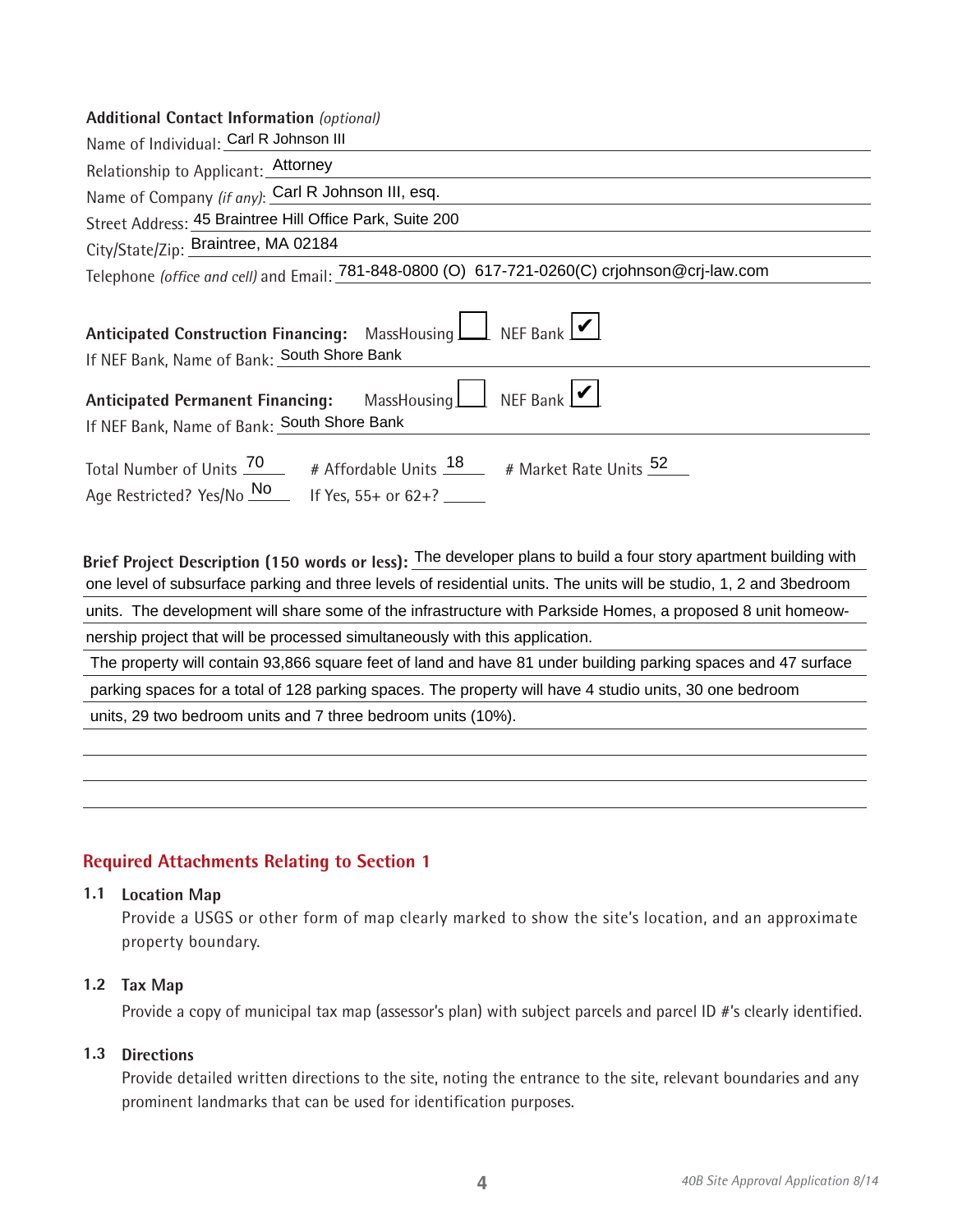### **Additional Contact Information** *(optional)*

| <i>R</i> WATERSTRIP COTTERCT THIS HIGHER TO RESIDENCE                                                                                                                                |
|--------------------------------------------------------------------------------------------------------------------------------------------------------------------------------------|
| Name of Individual: Carl R Johnson III                                                                                                                                               |
| Relationship to Applicant: Attorney                                                                                                                                                  |
| Name of Company (if any): Carl R Johnson III, esq.                                                                                                                                   |
| Street Address: 45 Braintree Hill Office Park, Suite 200                                                                                                                             |
| City/State/Zip: Braintree, MA 02184                                                                                                                                                  |
| Telephone (office and cell) and Email: 781-848-0800 (O) 617-721-0260(C) crjohnson@crj-law.com                                                                                        |
| Anticipated Construction Financing: MassHousing   REF Bank  <br>If NEF Bank, Name of Bank: South Shore Bank                                                                          |
| Anticipated Permanent Financing: MassHousing NEF Bank<br>If NEF Bank, Name of Bank: South Shore Bank                                                                                 |
| Total Number of Units $\frac{70}{4}$ # Affordable Units $\frac{18}{4}$ # Market Rate Units $\frac{52}{4}$<br>Age Restricted? Yes/No $\frac{\text{No}}{\text{1}}$ If Yes, 55+ or 62+? |

Brief Project Description (150 words or less): The developer plans to build a four story apartment building with<br>one level of subsurface parking and three levels of residential units. The units will be studio, 1, 2 and 3be units. The development will share some of the infrastructure with Parkside Homes, a proposed 8 unit homeow nership project that will be processed simultaneously with this application.<br>The property will contain 93,866 square feet of land and have 81 under building parking spaces and 47 surface<br>parking spaces for a total of 128 p

# **Required Attachments Relating to Section 1**

#### **1.1 Location Map**

Provide a USGS or other form of map clearly marked to show the site's location, and an approximate property boundary.

#### **1.2 Tax Map**

Provide a copy of municipal tax map (assessor's plan) with subject parcels and parcel ID #'s clearly identified.

#### **1.3 Directions**

Provide detailed written directions to the site, noting the entrance to the site, relevant boundaries and any prominent landmarks that can be used for identification purposes.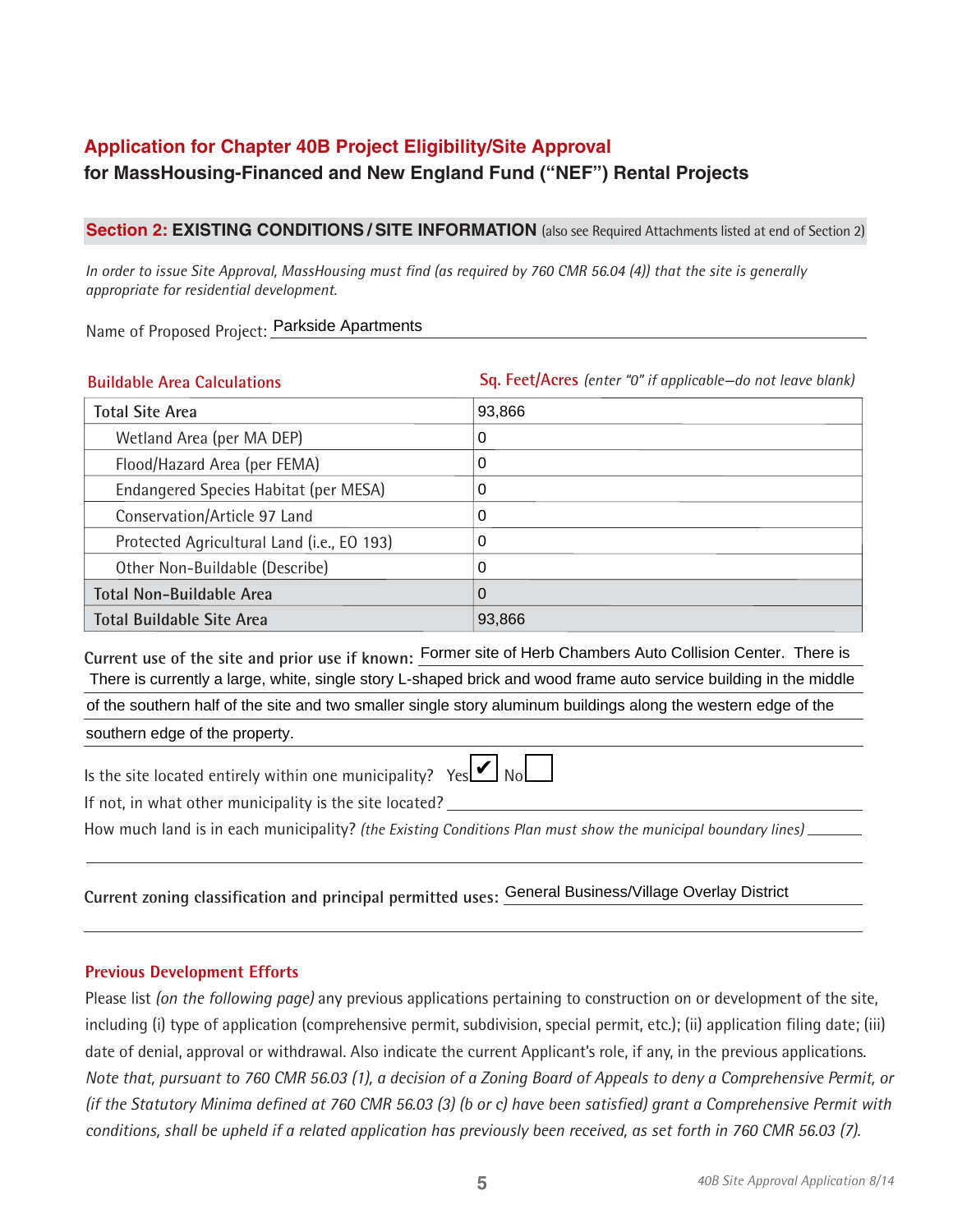# **Application for Chapter 40B Project Eligibility/Site Approval for MassHousing-Financed and New England Fund ("NEF") Rental Projects**

### **Section 2: EXISTING CONDITIONS / SITE INFORMATION** (also see Required Attachments listed at end of Section 2)

*In order to issue Site Approval, MassHousing must find (as required by 760 CMR 56.04 (4)) that the site is generally appropriate for residential development.* 

Name of Proposed Project: Parkside Apartments

| <b>Buildable Area Calculations</b>         | Sq. Feet/Acres (enter "0" if applicable-do not leave blank) |
|--------------------------------------------|-------------------------------------------------------------|
| <b>Total Site Area</b>                     | 93,866                                                      |
| Wetland Area (per MA DEP)                  | 0                                                           |
| Flood/Hazard Area (per FEMA)               | 0                                                           |
| Endangered Species Habitat (per MESA)      | 0                                                           |
| Conservation/Article 97 Land               | 0                                                           |
| Protected Agricultural Land (i.e., EO 193) | 0                                                           |
| Other Non-Buildable (Describe)             | 0                                                           |
| <b>Total Non-Buildable Area</b>            | O                                                           |
| <b>Total Buildable Site Area</b>           | 93,866                                                      |

Current use of the site and prior use if known: Former site of Herb Chambers Auto Collision Center. There is<br>There is currently a large, white, single story L-shaped brick and wood frame auto service building in the middle of the southern half of the site and two smaller single story aluminum buildings along the western edge of the southern edge of the property.

Is the site located entirely within one municipality?  $Yes$   $\triangleright$  No

|--|

If not, in what other municipality is the site located?

How much land is in each municipality? *(the Existing Conditions Plan must show the municipal boundary lines)*

# **Current zoning classification and principal permitted uses:**  General Business/Village Overlay District

#### **Previous Development Efforts**

Please list *(on the following page)* any previous applications pertaining to construction on or development of the site, including (i) type of application (comprehensive permit, subdivision, special permit, etc.); (ii) application filing date; (iii) date of denial, approval or withdrawal. Also indicate the current Applicant's role, if any, in the previous applications. *Note that, pursuant to 760 CMR 56.03 (1), a decision of a Zoning Board of Appeals to deny a Comprehensive Permit, or (if the Statutory Minima defined at 760 CMR 56.03 (3) (b or c) have been satisfied) grant a Comprehensive Permit with conditions, shall be upheld if a related application has previously been received, as set forth in 760 CMR 56.03 (7).*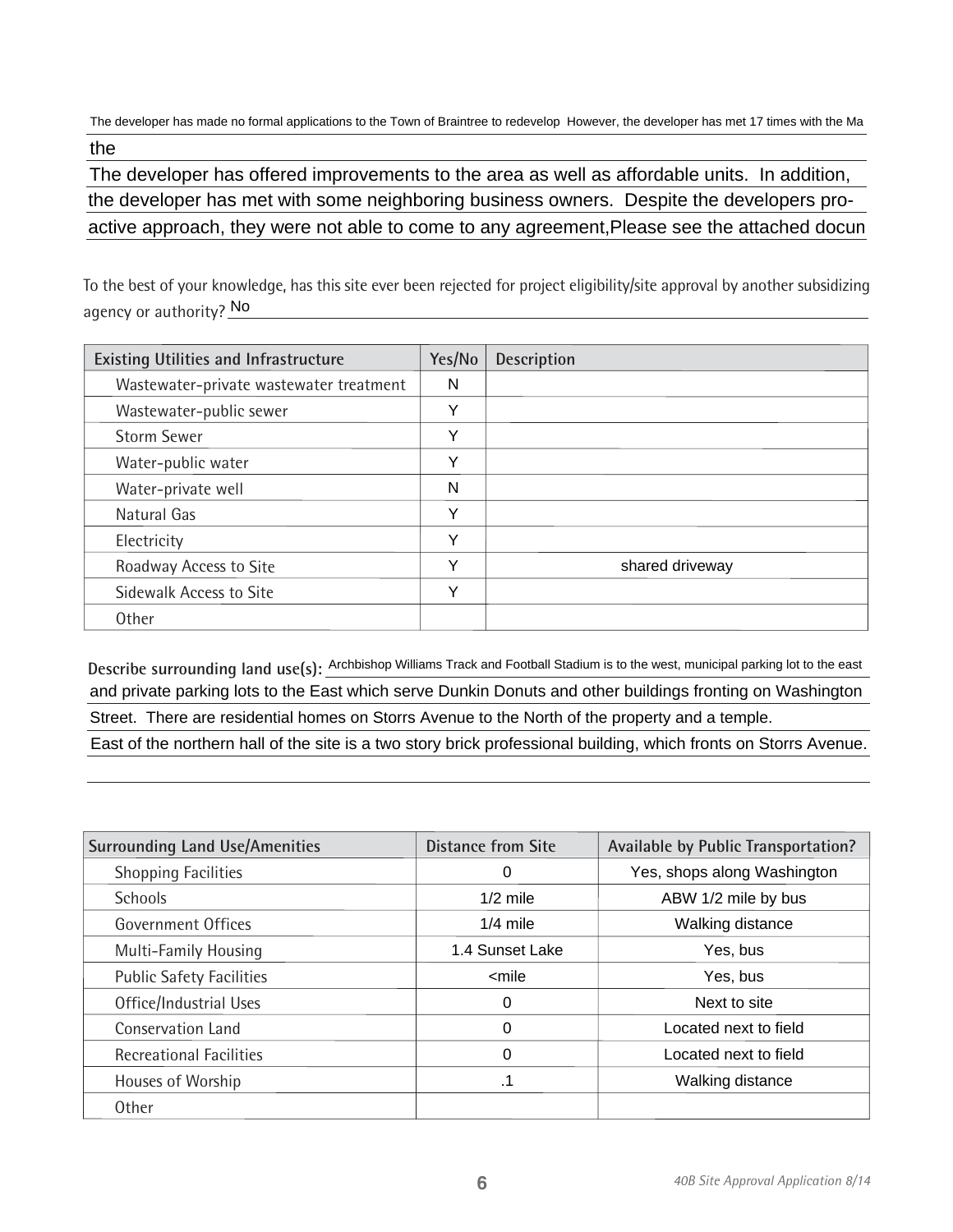The developer has made no formal applications to the Town of Braintree to redevelop However, the developer has met 17 times with the Ma

the<br>The developer has offered improvements to the area as well as affordable units. In addition,<br>the developer has met with some neighboring business owners. Despite the developers proactive approach, they were not able to come to any agreement, Please see the attached docun

To the best of your knowledge, has this site ever been rejected for project eligibility/site approval by another subsidizing agency or authority? <u>No</u>

| <b>Existing Utilities and Infrastructure</b> | Yes/No | <b>Description</b> |
|----------------------------------------------|--------|--------------------|
| Wastewater-private wastewater treatment      | N      |                    |
| Wastewater-public sewer                      | Y      |                    |
| <b>Storm Sewer</b>                           | Y      |                    |
| Water-public water                           | Υ      |                    |
| Water-private well                           | N      |                    |
| Natural Gas                                  | Y      |                    |
| Electricity                                  | Y      |                    |
| Roadway Access to Site                       | Y      | shared driveway    |
| Sidewalk Access to Site                      | Y      |                    |
| <b>Other</b>                                 |        |                    |

Describe surrounding land use(s): Archbishop Williams Track and Football Stadium is to the west, municipal parking lot to the east and private parking lots to the East which serve Dunkin Donuts and other buildings fronting on Washington Street. There are residential homes on Storrs Avenue to the North of the property and a temple. East of the northern hall of the site is a two story brick professional building, which fronts on Storrs Avenue.

| <b>Surrounding Land Use/Amenities</b> | <b>Distance from Site</b>              | Available by Public Transportation? |
|---------------------------------------|----------------------------------------|-------------------------------------|
| <b>Shopping Facilities</b>            | 0                                      | Yes, shops along Washington         |
| <b>Schools</b>                        | $1/2$ mile                             | ABW 1/2 mile by bus                 |
| Government Offices                    | $1/4$ mile                             | Walking distance                    |
| <b>Multi-Family Housing</b>           | 1.4 Sunset Lake                        | Yes, bus                            |
| <b>Public Safety Facilities</b>       | <mile< td=""><td>Yes, bus</td></mile<> | Yes, bus                            |
| Office/Industrial Uses                | 0                                      | Next to site                        |
| <b>Conservation Land</b>              | 0                                      | Located next to field               |
| <b>Recreational Facilities</b>        | $\Omega$                               | Located next to field               |
| Houses of Worship                     | .1                                     | Walking distance                    |
| <b>Other</b>                          |                                        |                                     |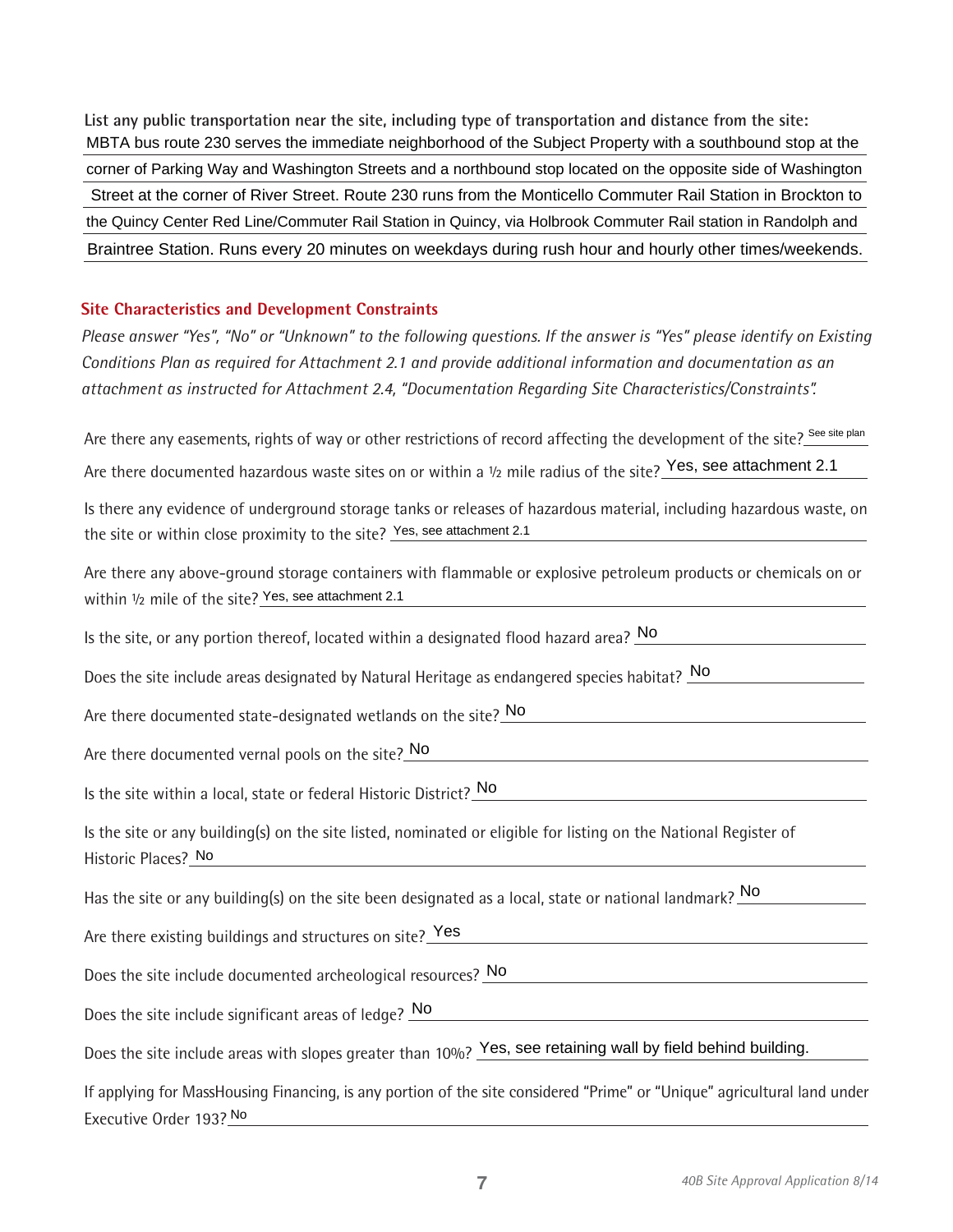**List any public transportation near the site, including type of transportation and distance from the site:** MBTA bus route 230 serves the immediate neighborhood of the Subject Property with a southbound stop at the corner of Parking Way and Washington Streets and a northbound stop located on the opposite side of Washington Street at the corner of River Street. Route 230 runs from the Monticello Commuter Rail Station in Brockton to the Quincy Center Red Line/Commuter Rail Station in Quincy, via Holbrook Commuter Rail station in Randolph and Braintree Station. Runs every 20 minutes on weekdays during rush hour and hourly other times/weekends.

#### **Site Characteristics and Development Constraints**

*Please answer "Yes", "No" or "Unknown" to the following questions. If the answer is "Yes" please identify on Existing Conditions Plan as required for Attachment 2.1 and provide additional information and documentation as an attachment as instructed for Attachment 2.4, "Documentation Regarding Site Characteristics/Constraints".*

Are there any easements, rights of way or other restrictions of record affecting the development of the site? See site plan Are there documented hazardous waste sites on or within a 1/2 mile radius of the site? Yes, see attachment 2.1

Is there any evidence of underground storage tanks or releases of hazardous material, including hazardous waste, on the site or within close proximity to the site? Yes, see attachment 2.1

Are there any above-ground storage containers with flammable or explosive petroleum products or chemicals on or within 1/2 mile of the site? Yes, see attachment 2.1

Is the site, or any portion thereof, located within a designated flood hazard area? No

Does the site include areas designated by Natural Heritage as endangered species habitat? No

Are there documented state-designated wetlands on the site? No

Are there documented vernal pools on the site?\_No

Is the site within a local, state or federal Historic District? No

Is the site or any building(s) on the site listed, nominated or eligible for listing on the National Register of Historic Places? No

Has the site or any building(s) on the site been designated as a local, state or national landmark?  $\bigsqcup$ 

Are there existing buildings and structures on site? Yes

Does the site include documented archeological resources? No

Does the site include significant areas of ledge? No

Does the site include areas with slopes greater than 10%? Yes, see retaining wall by field behind building.

If applying for MassHousing Financing, is any portion of the site considered "Prime" or "Unique" agricultural land under Executive Order 193? No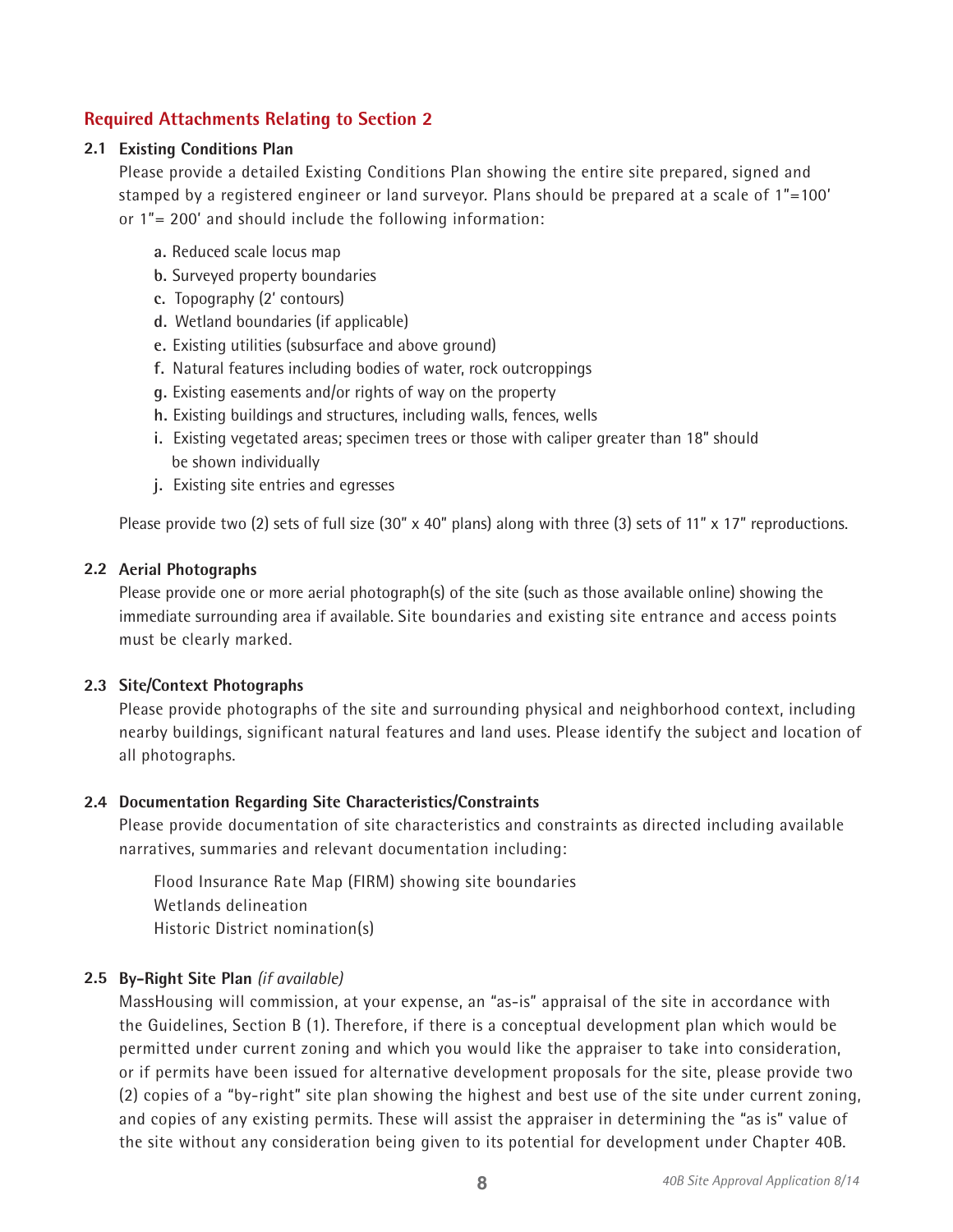# **Required Attachments Relating to Section 2**

# **2.1 Existing Conditions Plan**

Please provide a detailed Existing Conditions Plan showing the entire site prepared, signed and stamped by a registered engineer or land surveyor. Plans should be prepared at a scale of 1"=100' or 1"= 200' and should include the following information:

- **a.** Reduced scale locus map
- **b.** Surveyed property boundaries
- **c.** Topography (2' contours)
- **d.** Wetland boundaries (if applicable)
- **e.** Existing utilities (subsurface and above ground)
- **f.** Natural features including bodies of water, rock outcroppings
- **g.** Existing easements and/or rights of way on the property
- **h.** Existing buildings and structures, including walls, fences, wells
- **i.** Existing vegetated areas; specimen trees or those with caliper greater than 18" should be shown individually
- **j.** Existing site entries and egresses

Please provide two (2) sets of full size (30"  $\times$  40" plans) along with three (3) sets of 11"  $\times$  17" reproductions.

### **2.2 Aerial Photographs**

Please provide one or more aerial photograph(s) of the site (such as those available online) showing the immediate surrounding area if available. Site boundaries and existing site entrance and access points must be clearly marked.

#### **2.3 Site/Context Photographs**

Please provide photographs of the site and surrounding physical and neighborhood context, including nearby buildings, significant natural features and land uses. Please identify the subject and location of all photographs.

### **2.4 Documentation Regarding Site Characteristics/Constraints**

Please provide documentation of site characteristics and constraints as directed including available narratives, summaries and relevant documentation including:

Flood Insurance Rate Map (FIRM) showing site boundaries Wetlands delineation Historic District nomination(s)

# **2.5 By-Right Site Plan** *(if available)*

MassHousing will commission, at your expense, an "as-is" appraisal of the site in accordance with the Guidelines, Section B (1). Therefore, if there is a conceptual development plan which would be permitted under current zoning and which you would like the appraiser to take into consideration, or if permits have been issued for alternative development proposals for the site, please provide two (2) copies of a "by-right" site plan showing the highest and best use of the site under current zoning, and copies of any existing permits. These will assist the appraiser in determining the "as is" value of the site without any consideration being given to its potential for development under Chapter 40B.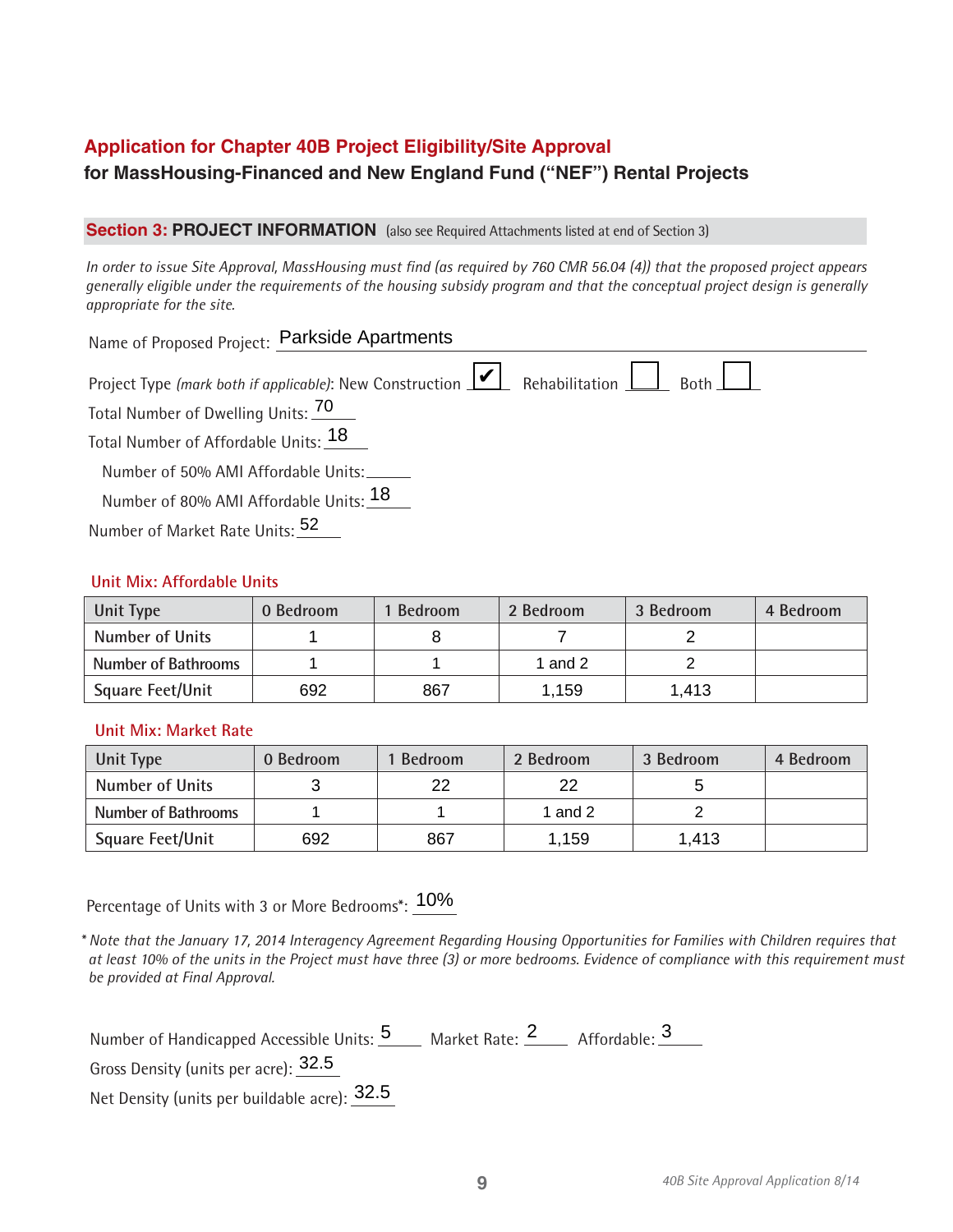# **Application for Chapter 40B Project Eligibility/Site Approval for MassHousing-Financed and New England Fund ("NEF") Rental Projects**

### **Section 3: PROJECT INFORMATION** (also see Required Attachments listed at end of Section 3)

*In order to issue Site Approval, MassHousing must find (as required by 760 CMR 56.04 (4)) that the proposed project appears generally eligible under the requirements of the housing subsidy program and that the conceptual project design is generally appropriate for the site.*

| Name of Proposed Project: Parkside Apartments                                                                                                                                                                                           |
|-----------------------------------------------------------------------------------------------------------------------------------------------------------------------------------------------------------------------------------------|
| Project Type (mark both if applicable): New Construction $\boxed{\triangleright}$ Rehabilitation $\boxed{\phantom{\cdot}}$ Both $\boxed{\phantom{\cdot}}$<br>Total Number of Dwelling Units: 70<br>Total Number of Affordable Units: 18 |
| Number of 50% AMI Affordable Units:                                                                                                                                                                                                     |
| Number of 80% AMI Affordable Units: 18<br>Number of Market Rate Units: 52                                                                                                                                                               |

### **Unit Mix: Affordable Units**

| Unit Type                  | 0 Bedroom | 1 Bedroom | 2 Bedroom | 3 Bedroom | 4 Bedroom |
|----------------------------|-----------|-----------|-----------|-----------|-----------|
| <b>Number of Units</b>     |           |           |           |           |           |
| <b>Number of Bathrooms</b> |           |           | 1 and 2   |           |           |
| <b>Square Feet/Unit</b>    | 692       | 867       | 1.159     | 1,413     |           |

# **Unit Mix: Market Rate**

| Unit Type                  | 0 Bedroom | 1 Bedroom | 2 Bedroom | 3 Bedroom | 4 Bedroom |
|----------------------------|-----------|-----------|-----------|-----------|-----------|
| <b>Number of Units</b>     |           | 22        | 22        |           |           |
| <b>Number of Bathrooms</b> |           |           | 1 and 2   |           |           |
| <b>Square Feet/Unit</b>    | 692       | 867       | 1,159     | 1,413     |           |

Percentage of Units with 3 or More Bedrooms\*:  $\underline{10\%}$ 

*\* Note that the January 17, 2014 Interagency Agreement Regarding Housing Opportunities for Families with Children requires that at least 10% of the units in the Project must have three (3) or more bedrooms. Evidence of compliance with this requirement must be provided at Final Approval.*

| Number of Handicapped Accessible Units: 5 Market Rate: 2 Affordable: 3 |  |
|------------------------------------------------------------------------|--|
| Gross Density (units per acre): 32.5                                   |  |
|                                                                        |  |

Net Density (units per buildable acre):  $\overline{32.5}$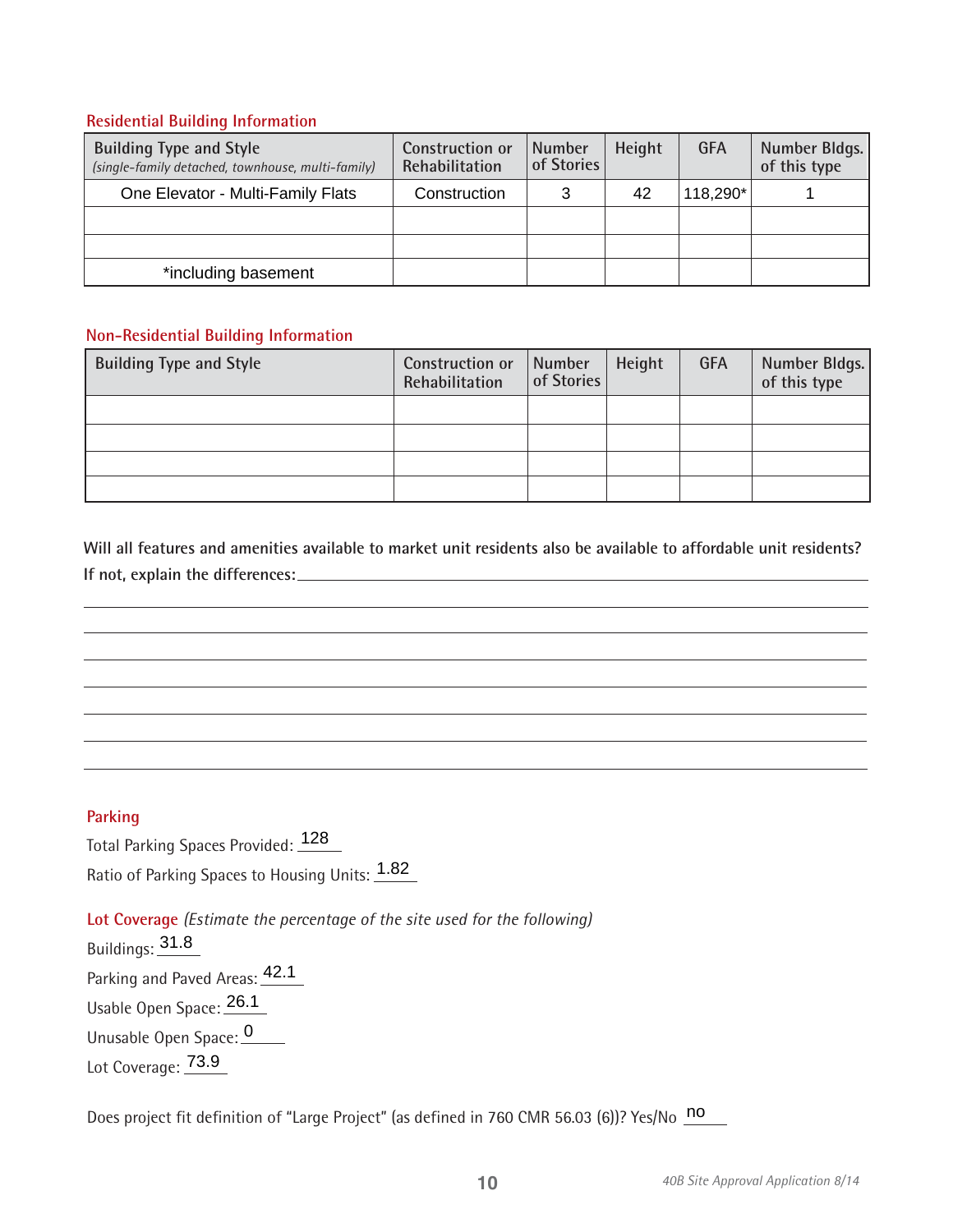# **Residential Building Information**

| <b>Building Type and Style</b><br>(single-family detached, townhouse, multi-family) | <b>Construction or</b><br>Rehabilitation | <b>Number</b><br>of Stories | Height | <b>GFA</b> | Number Bldgs.<br>of this type |
|-------------------------------------------------------------------------------------|------------------------------------------|-----------------------------|--------|------------|-------------------------------|
| One Elevator - Multi-Family Flats                                                   | Construction                             |                             | 42     | 118,290*   |                               |
|                                                                                     |                                          |                             |        |            |                               |
|                                                                                     |                                          |                             |        |            |                               |
| *including basement                                                                 |                                          |                             |        |            |                               |

# **Non-Residential Building Information**

| <b>Building Type and Style</b> | Construction or<br>Rehabilitation | Number<br>of Stories | Height | <b>GFA</b> | Number Bldgs.<br>of this type |
|--------------------------------|-----------------------------------|----------------------|--------|------------|-------------------------------|
|                                |                                   |                      |        |            |                               |
|                                |                                   |                      |        |            |                               |
|                                |                                   |                      |        |            |                               |
|                                |                                   |                      |        |            |                               |

**Will all features and amenities available to market unit residents also be available to affordable unit residents? If not, explain the differences:** 

# **Parking**

Total Parking Spaces Provided: 128 Ratio of Parking Spaces to Housing Units: 1.82

**Lot Coverage** *(Estimate the percentage of the site used for the following)* Buildings: 31.8 Parking and Paved Areas: 42.1 Usable Open Space: 26.10 Unusable Open Space: 0

Lot Coverage: 73.9

Does project fit definition of "Large Project" (as defined in 760 CMR 56.03 (6))? Yes/No  $\overline{no}$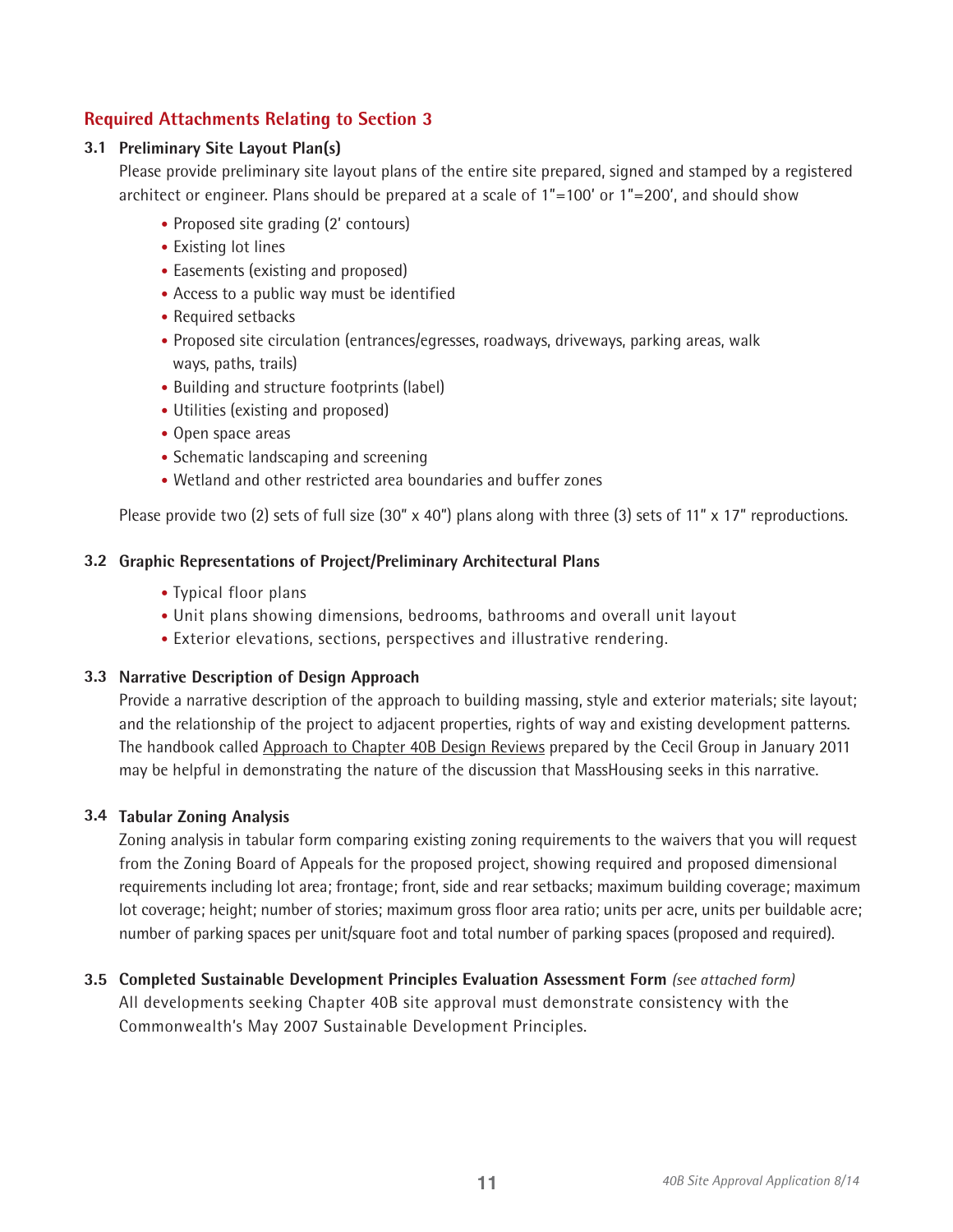# **Required Attachments Relating to Section 3**

# **3.1 Preliminary Site Layout Plan(s)**

Please provide preliminary site layout plans of the entire site prepared, signed and stamped by a registered architect or engineer. Plans should be prepared at a scale of 1"=100' or 1"=200', and should show

- Proposed site grading (2' contours)
- Existing lot lines
- Easements (existing and proposed)
- Access to a public way must be identified
- Required setbacks
- Proposed site circulation (entrances/egresses, roadways, driveways, parking areas, walk ways, paths, trails)
- Building and structure footprints (label)
- Utilities (existing and proposed)
- Open space areas
- Schematic landscaping and screening
- Wetland and other restricted area boundaries and buffer zones

Please provide two (2) sets of full size (30"  $\times$  40") plans along with three (3) sets of 11"  $\times$  17" reproductions.

### **3.2 Graphic Representations of Project/Preliminary Architectural Plans**

- Typical floor plans
- Unit plans showing dimensions, bedrooms, bathrooms and overall unit layout
- Exterior elevations, sections, perspectives and illustrative rendering.

### **3.3 Narrative Description of Design Approach**

Provide a narrative description of the approach to building massing, style and exterior materials; site layout; and the relationship of the project to adjacent properties, rights of way and existing development patterns. The handbook called Approach to Chapter 40B Design Reviews prepared by the Cecil Group in January 2011 may be helpful in demonstrating the nature of the discussion that MassHousing seeks in this narrative.

#### **3.4 Tabular Zoning Analysis**

Zoning analysis in tabular form comparing existing zoning requirements to the waivers that you will request from the Zoning Board of Appeals for the proposed project, showing required and proposed dimensional requirements including lot area; frontage; front, side and rear setbacks; maximum building coverage; maximum lot coverage; height; number of stories; maximum gross floor area ratio; units per acre, units per buildable acre; number of parking spaces per unit/square foot and total number of parking spaces (proposed and required).

**3.5 Completed Sustainable Development Principles Evaluation Assessment Form** *(see attached form)* All developments seeking Chapter 40B site approval must demonstrate consistency with the Commonwealth's May 2007 Sustainable Development Principles.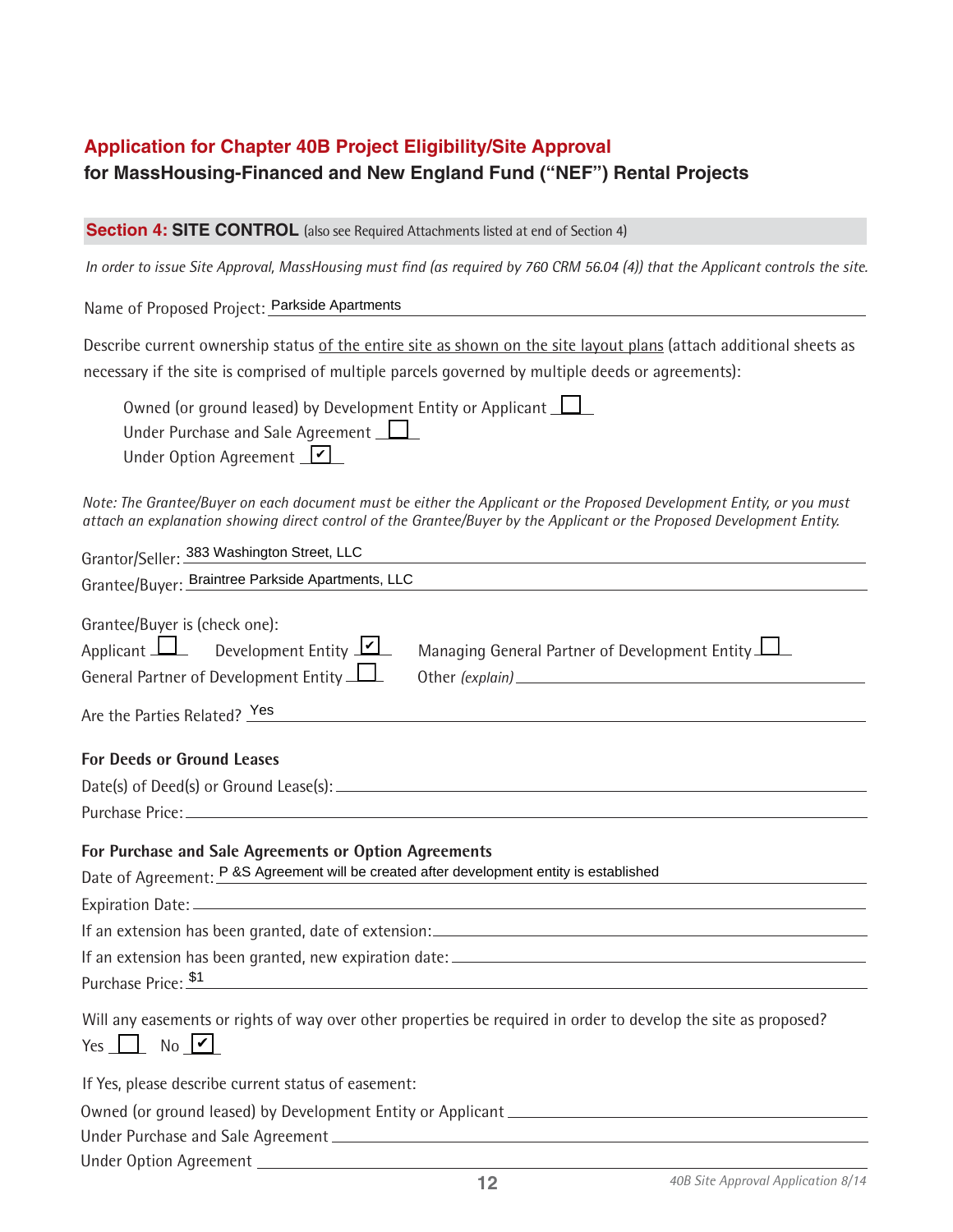# **Application for Chapter 40B Project Eligibility/Site Approval for MassHousing-Financed and New England Fund ("NEF") Rental Projects**

**Section 4: SITE CONTROL** (also see Required Attachments listed at end of Section 4)

*In order to issue Site Approval, MassHousing must find (as required by 760 CRM 56.04 (4)) that the Applicant controls the site.*

Name of Proposed Project: Parkside Apartments

Describe current ownership status of the entire site as shown on the site layout plans (attach additional sheets as necessary if the site is comprised of multiple parcels governed by multiple deeds or agreements):

| Owned (or ground leased) by Development Entity or Applicant $\Box$ |  |
|--------------------------------------------------------------------|--|
| Under Purchase and Sale Agreement $\Box$                           |  |

Under Option Agreement <u>レ</u>

*Note: The Grantee/Buyer on each document must be either the Applicant or the Proposed Development Entity, or you must attach an explanation showing direct control of the Grantee/Buyer by the Applicant or the Proposed Development Entity.* 

| Grantor/Seller: 383 Washington Street, LLC                                                                                                                                                             |
|--------------------------------------------------------------------------------------------------------------------------------------------------------------------------------------------------------|
| Grantee/Buyer: Braintree Parkside Apartments, LLC                                                                                                                                                      |
| Grantee/Buyer is (check one):<br>Applicant $\Box$ Development Entity $\Box$<br>Managing General Partner of Development Entity<br>General Partner of Development Entity<br>Are the Parties Related? Yes |
| <b>For Deeds or Ground Leases</b>                                                                                                                                                                      |
|                                                                                                                                                                                                        |
|                                                                                                                                                                                                        |
| For Purchase and Sale Agreements or Option Agreements<br>Date of Agreement: P &S Agreement will be created after development entity is established                                                     |
|                                                                                                                                                                                                        |
| Purchase Price: \$1<br><u> 1980 - Andrea Andrew Maria (h. 1980).</u>                                                                                                                                   |
| Will any easements or rights of way over other properties be required in order to develop the site as proposed?<br>Yes $\Box$ No $\vee$                                                                |
| If Yes, please describe current status of easement:                                                                                                                                                    |
|                                                                                                                                                                                                        |
|                                                                                                                                                                                                        |
|                                                                                                                                                                                                        |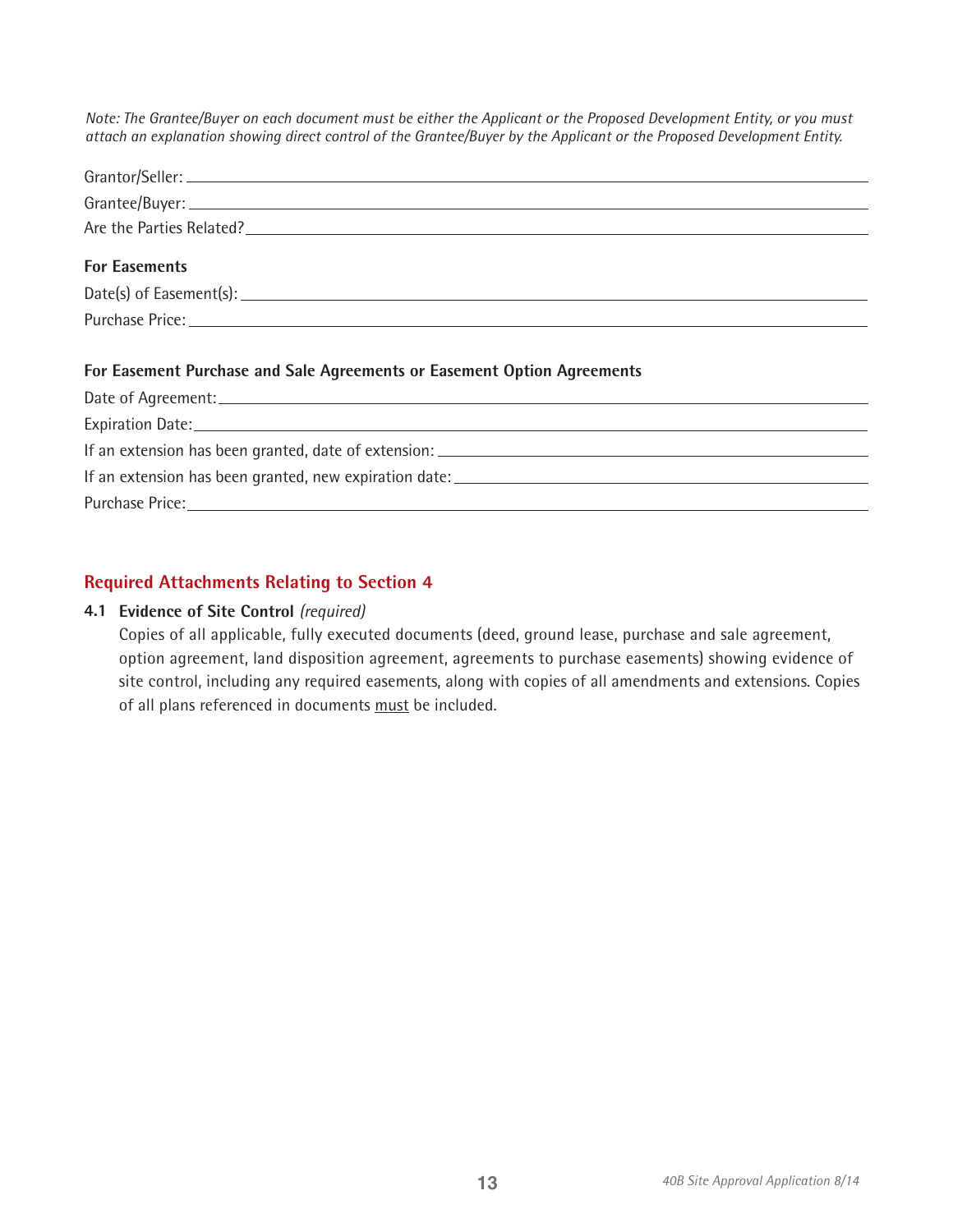*Note: The Grantee/Buyer on each document must be either the Applicant or the Proposed Development Entity, or you must attach an explanation showing direct control of the Grantee/Buyer by the Applicant or the Proposed Development Entity.*

| Are the Parties Related?                                                |
|-------------------------------------------------------------------------|
| <b>For Easements</b>                                                    |
|                                                                         |
|                                                                         |
| For Easement Purchase and Sale Agreements or Easement Option Agreements |
|                                                                         |
|                                                                         |
|                                                                         |
|                                                                         |

Purchase Price:

# **Required Attachments Relating to Section 4**

### **4.1 Evidence of Site Control** *(required)*

Copies of all applicable, fully executed documents (deed, ground lease, purchase and sale agreement, option agreement, land disposition agreement, agreements to purchase easements) showing evidence of site control, including any required easements, along with copies of all amendments and extensions. Copies of all plans referenced in documents must be included.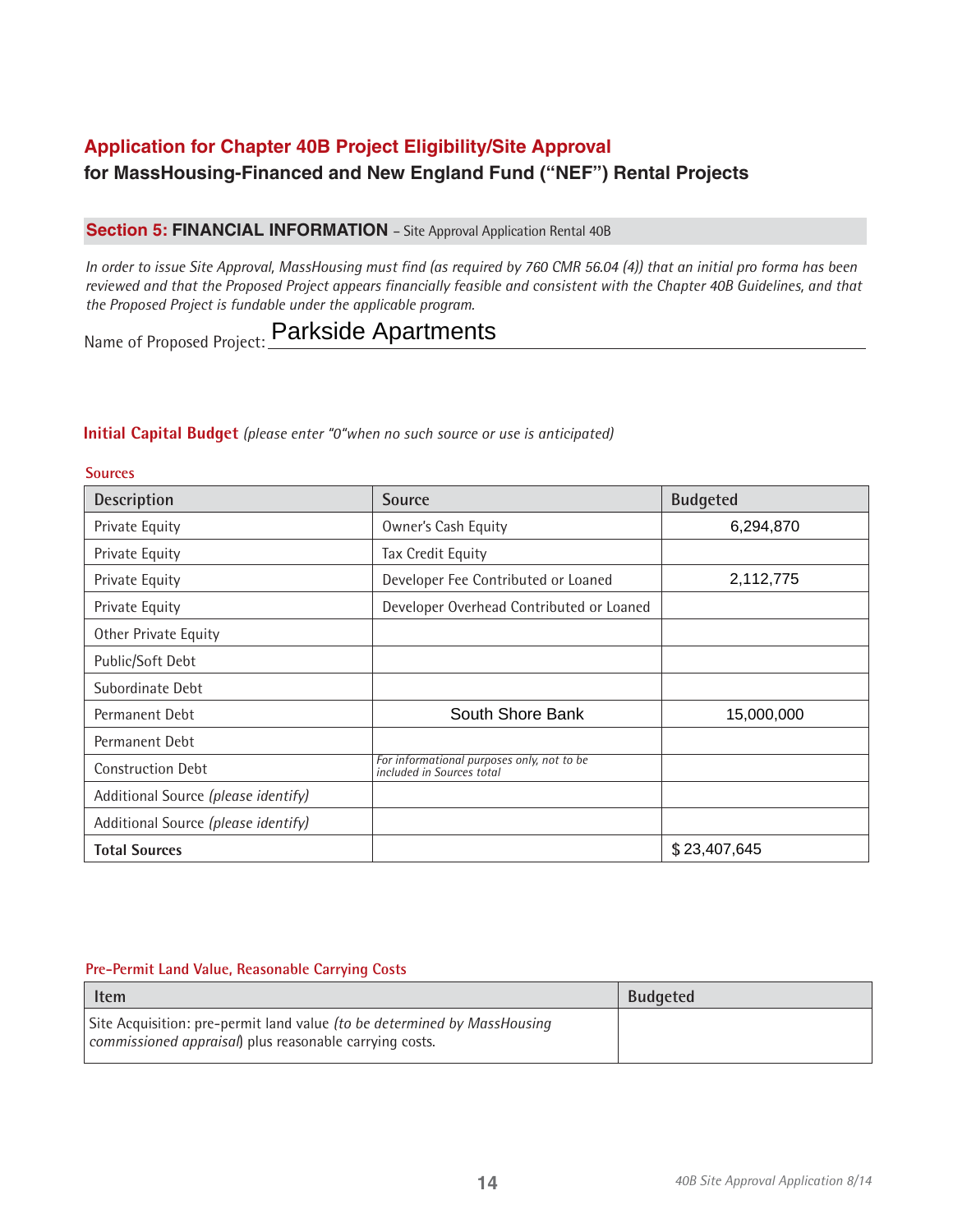# **Application for Chapter 40B Project Eligibility/Site Approval for MassHousing-Financed and New England Fund ("NEF") Rental Projects**

# **Section 5: FINANCIAL INFORMATION** - Site Approval Application Rental 40B

*In order to issue Site Approval, MassHousing must find (as required by 760 CMR 56.04 (4)) that an initial pro forma has been reviewed and that the Proposed Project appears financially feasible and consistent with the Chapter 40B Guidelines, and that the Proposed Project is fundable under the applicable program.*

Name of Proposed Project: **Parkside Apartments** 

#### **Initial Capital Budget** *(please enter "0"when no such source or use is anticipated)*

| <b>Sources</b>                      |                                                                         |                 |
|-------------------------------------|-------------------------------------------------------------------------|-----------------|
| Description                         | <b>Source</b>                                                           | <b>Budgeted</b> |
| Private Equity                      | Owner's Cash Equity                                                     | 6,294,870       |
| Private Equity                      | Tax Credit Equity                                                       |                 |
| Private Equity                      | Developer Fee Contributed or Loaned                                     | 2,112,775       |
| Private Equity                      | Developer Overhead Contributed or Loaned                                |                 |
| Other Private Equity                |                                                                         |                 |
| Public/Soft Debt                    |                                                                         |                 |
| Subordinate Debt                    |                                                                         |                 |
| Permanent Debt                      | South Shore Bank                                                        | 15,000,000      |
| Permanent Debt                      |                                                                         |                 |
| <b>Construction Debt</b>            | For informational purposes only, not to be<br>included in Sources total |                 |
| Additional Source (please identify) |                                                                         |                 |
| Additional Source (please identify) |                                                                         |                 |
| <b>Total Sources</b>                |                                                                         | \$23,407,645    |

#### **Pre-Permit Land Value, Reasonable Carrying Costs**

| <b>Budgeted</b><br><b>Item</b>                                                                                                      |  |
|-------------------------------------------------------------------------------------------------------------------------------------|--|
| Site Acquisition: pre-permit land value (to be determined by MassHousing<br>commissioned appraisal) plus reasonable carrying costs. |  |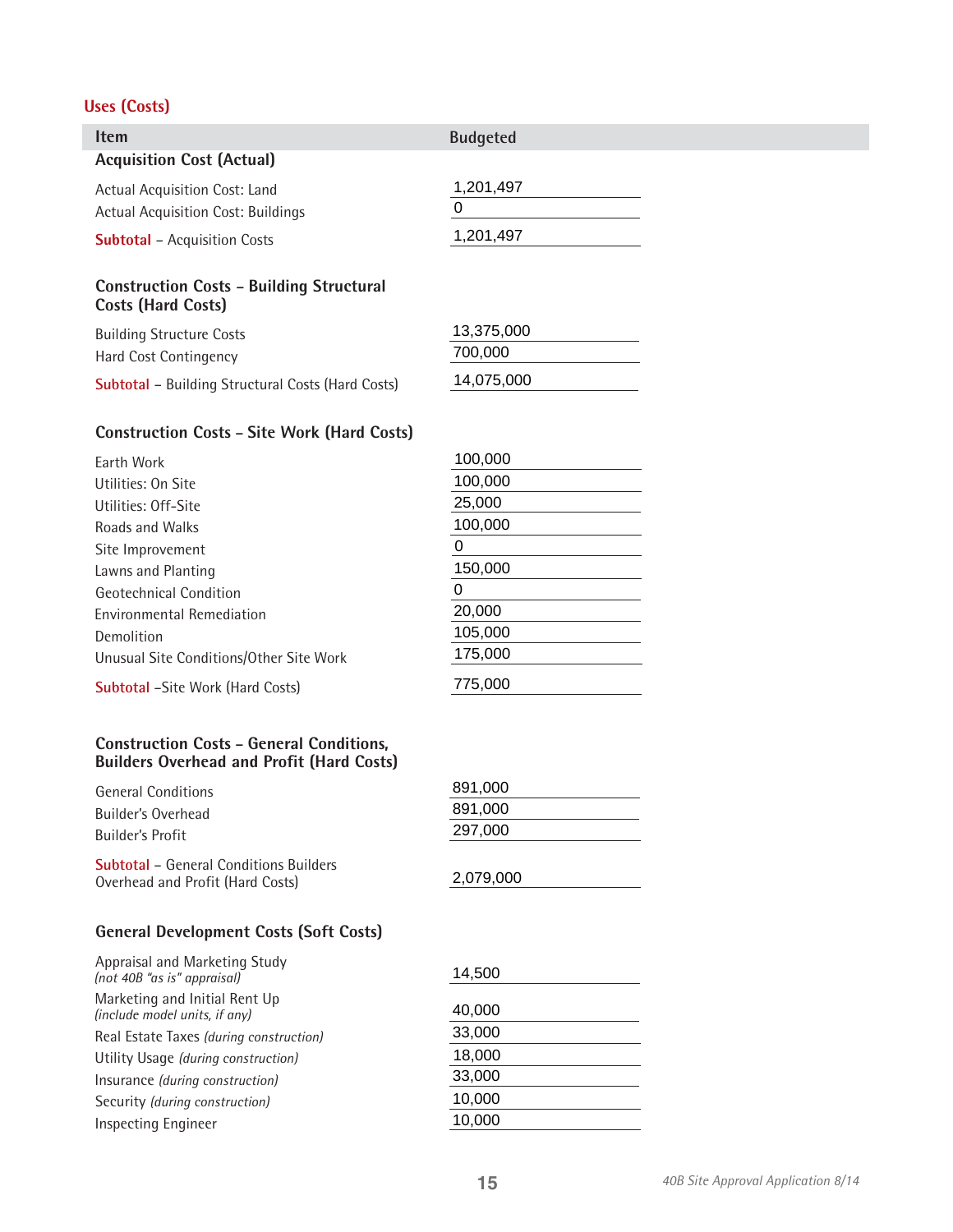# **Uses (Costs)**

| <b>Item</b>                                                                  | <b>Budgeted</b> |
|------------------------------------------------------------------------------|-----------------|
| <b>Acquisition Cost (Actual)</b>                                             |                 |
| Actual Acquisition Cost: Land<br><b>Actual Acquisition Cost: Buildings</b>   | 1,201,497<br>0  |
| <b>Subtotal</b> – Acquisition Costs                                          | 1,201,497       |
| <b>Construction Costs - Building Structural</b><br><b>Costs (Hard Costs)</b> |                 |
| D                                                                            | 13 375 000      |

| <b>Building Structure Costs</b>                          | 13,375,000 |
|----------------------------------------------------------|------------|
| Hard Cost Contingency                                    | 700.000    |
| <b>Subtotal - Building Structural Costs (Hard Costs)</b> | 14,075,000 |

# **Construction Costs – Site Work (Hard Costs)**

| <b>Farth Work</b>                       | 100,000 |
|-----------------------------------------|---------|
| Utilities: On Site                      | 100,000 |
| Utilities: Off-Site                     | 25,000  |
| <b>Roads and Walks</b>                  | 100,000 |
| Site Improvement                        | 0       |
| Lawns and Planting                      | 150,000 |
| Geotechnical Condition                  | O       |
| <b>Environmental Remediation</b>        | 20,000  |
| Demolition                              | 105,000 |
| Unusual Site Conditions/Other Site Work | 175,000 |
| <b>Subtotal -Site Work (Hard Costs)</b> | 775,000 |

#### **Construction Costs – General Conditions, Builders Overhead and Profit (Hard Costs)**

| General Conditions                                                                | 891,000   |
|-----------------------------------------------------------------------------------|-----------|
| Builder's Overhead                                                                | 891.000   |
| Builder's Profit                                                                  | 297,000   |
| <b>Subtotal –</b> General Conditions Builders<br>Overhead and Profit (Hard Costs) | 2,079,000 |

# **General Development Costs (Soft Costs)**

| Appraisal and Marketing Study<br>(not 40B "as is" appraisal)   | 14,500 |
|----------------------------------------------------------------|--------|
| Marketing and Initial Rent Up<br>(include model units, if any) | 40,000 |
| Real Estate Taxes (during construction)                        | 33,000 |
| Utility Usage (during construction)                            | 18,000 |
| Insurance (during construction)                                | 33,000 |
| Security (during construction)                                 | 10,000 |
| <b>Inspecting Engineer</b>                                     | 10,000 |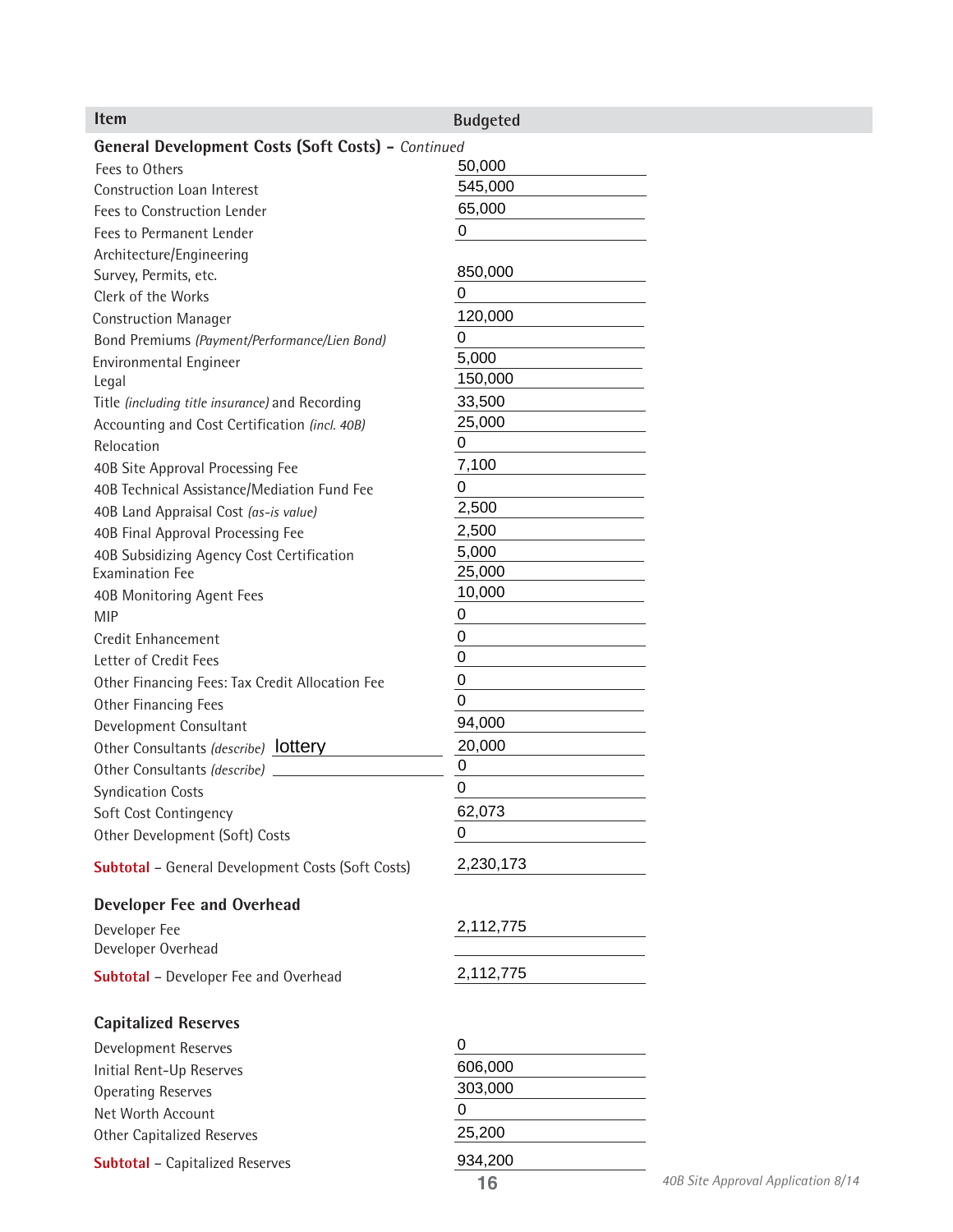| Item                                                      | <b>Budgeted</b> |                                    |
|-----------------------------------------------------------|-----------------|------------------------------------|
| <b>General Development Costs (Soft Costs) - Continued</b> |                 |                                    |
| Fees to Others                                            | 50,000          |                                    |
| Construction Loan Interest                                | 545,000         |                                    |
| Fees to Construction Lender                               | 65,000          |                                    |
| Fees to Permanent Lender                                  | $\mathbf 0$     |                                    |
| Architecture/Engineering                                  |                 |                                    |
| Survey, Permits, etc.                                     | 850,000         |                                    |
| Clerk of the Works                                        | 0               |                                    |
| <b>Construction Manager</b>                               | 120,000         |                                    |
| Bond Premiums (Payment/Performance/Lien Bond)             | 0               |                                    |
| Environmental Engineer                                    | 5,000           |                                    |
| Legal                                                     | 150,000         |                                    |
| Title (including title insurance) and Recording           | 33,500          |                                    |
| Accounting and Cost Certification (incl. 40B)             | 25,000          |                                    |
| Relocation                                                | 0               |                                    |
|                                                           | 7,100           |                                    |
| 40B Site Approval Processing Fee                          | 0               |                                    |
| 40B Technical Assistance/Mediation Fund Fee               | 2,500           |                                    |
| 40B Land Appraisal Cost (as-is value)                     |                 |                                    |
| 40B Final Approval Processing Fee                         | 2,500<br>5,000  |                                    |
| 40B Subsidizing Agency Cost Certification                 | 25,000          |                                    |
| <b>Examination Fee</b>                                    | 10,000          |                                    |
| 40B Monitoring Agent Fees                                 |                 |                                    |
| <b>MIP</b>                                                | 0               |                                    |
| Credit Enhancement                                        | 0               |                                    |
| Letter of Credit Fees                                     | 0               |                                    |
| Other Financing Fees: Tax Credit Allocation Fee           | 0               |                                    |
| Other Financing Fees                                      | $\Omega$        |                                    |
| Development Consultant                                    | 94,000          |                                    |
| Other Consultants (describe) <b>lottery</b>               | 20,000          |                                    |
| Other Consultants (describe)                              | 0               |                                    |
| <b>Syndication Costs</b>                                  | $\mathbf 0$     |                                    |
| Soft Cost Contingency                                     | 62,073          |                                    |
| Other Development (Soft) Costs                            | 0               |                                    |
|                                                           |                 |                                    |
| <b>Subtotal - General Development Costs (Soft Costs)</b>  | 2,230,173       |                                    |
| <b>Developer Fee and Overhead</b>                         |                 |                                    |
| Developer Fee                                             | 2,112,775       |                                    |
| Developer Overhead                                        |                 |                                    |
| <b>Subtotal</b> - Developer Fee and Overhead              | 2,112,775       |                                    |
|                                                           |                 |                                    |
| <b>Capitalized Reserves</b>                               |                 |                                    |
| Development Reserves                                      | 0               |                                    |
| Initial Rent-Up Reserves                                  | 606,000         |                                    |
| <b>Operating Reserves</b>                                 | 303,000         |                                    |
| Net Worth Account                                         | 0               |                                    |
| Other Capitalized Reserves                                | 25,200          |                                    |
| <b>Subtotal - Capitalized Reserves</b>                    | 934,200         |                                    |
|                                                           | 16              | 40B Site Approval Application 8/14 |
|                                                           |                 |                                    |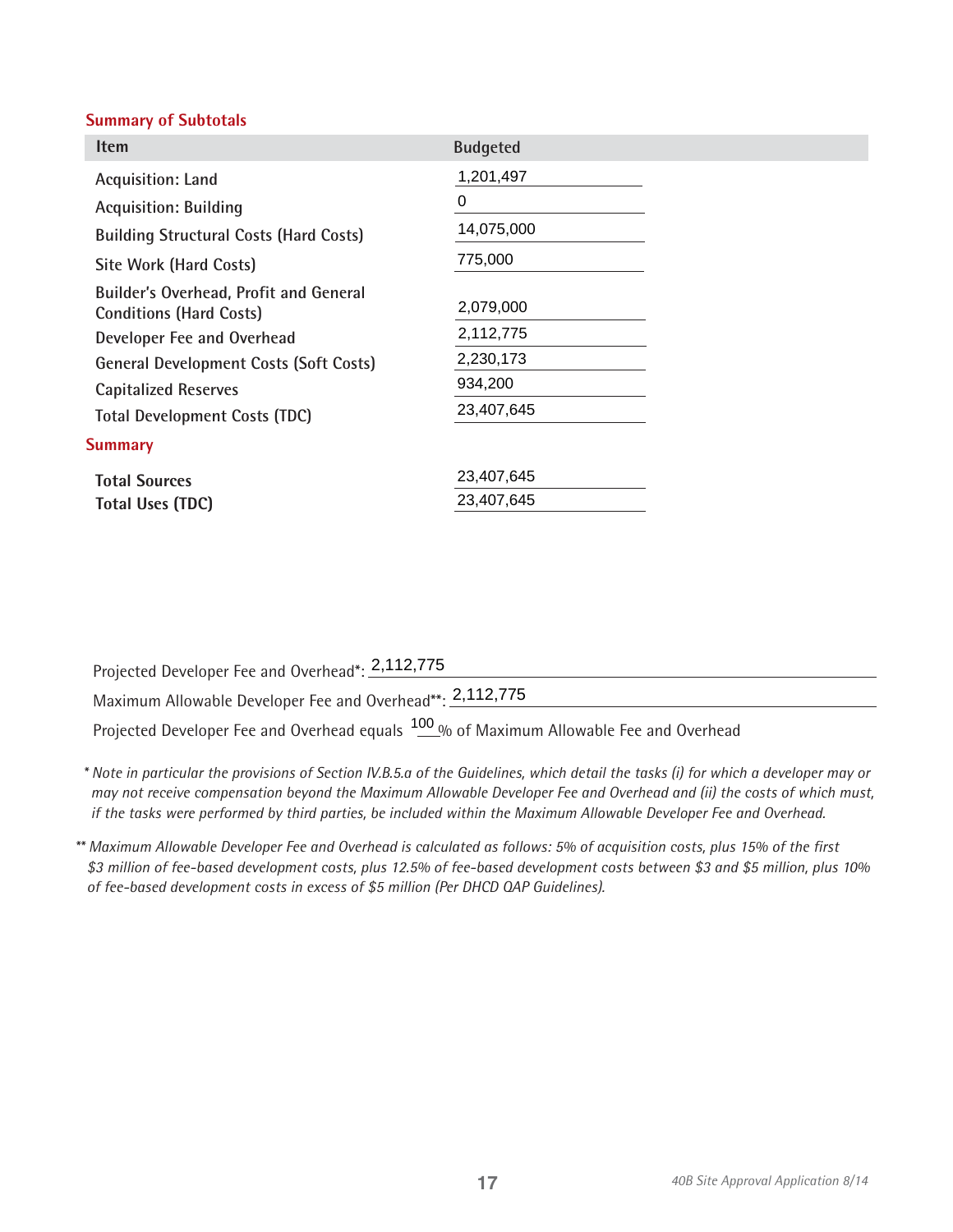### **Summary of Subtotals**

| <b>Item</b>                                                                     | <b>Budgeted</b> |
|---------------------------------------------------------------------------------|-----------------|
| Acquisition: Land                                                               | 1,201,497       |
| <b>Acquisition: Building</b>                                                    | 0               |
| <b>Building Structural Costs (Hard Costs)</b>                                   | 14,075,000      |
| <b>Site Work (Hard Costs)</b>                                                   | 775,000         |
| <b>Builder's Overhead, Profit and General</b><br><b>Conditions (Hard Costs)</b> | 2,079,000       |
| Developer Fee and Overhead                                                      | 2,112,775       |
| <b>General Development Costs (Soft Costs)</b>                                   | 2,230,173       |
| <b>Capitalized Reserves</b>                                                     | 934,200         |
| <b>Total Development Costs (TDC)</b>                                            | 23,407,645      |
| <b>Summary</b>                                                                  |                 |
| <b>Total Sources</b>                                                            | 23,407,645      |
| <b>Total Uses (TDC)</b>                                                         | 23,407,645      |

Projected Developer Fee and Overhead\*: 2,112,775 Maximum Allowable Developer Fee and Overhead\*\*: 2,112,775 Projected Developer Fee and Overhead equals  $\frac{100}{2}$ % of Maximum Allowable Fee and Overhead

*\* Note in particular the provisions of Section IV.B.5.a of the Guidelines, which detail the tasks (i) for which a developer may or may not receive compensation beyond the Maximum Allowable Developer Fee and Overhead and (ii) the costs of which must, if the tasks were performed by third parties, be included within the Maximum Allowable Developer Fee and Overhead.*

*\*\* Maximum Allowable Developer Fee and Overhead is calculated as follows: 5% of acquisition costs, plus 15% of the first \$3 million of fee-based development costs, plus 12.5% of fee-based development costs between \$3 and \$5 million, plus 10% of fee-based development costs in excess of \$5 million (Per DHCD QAP Guidelines).*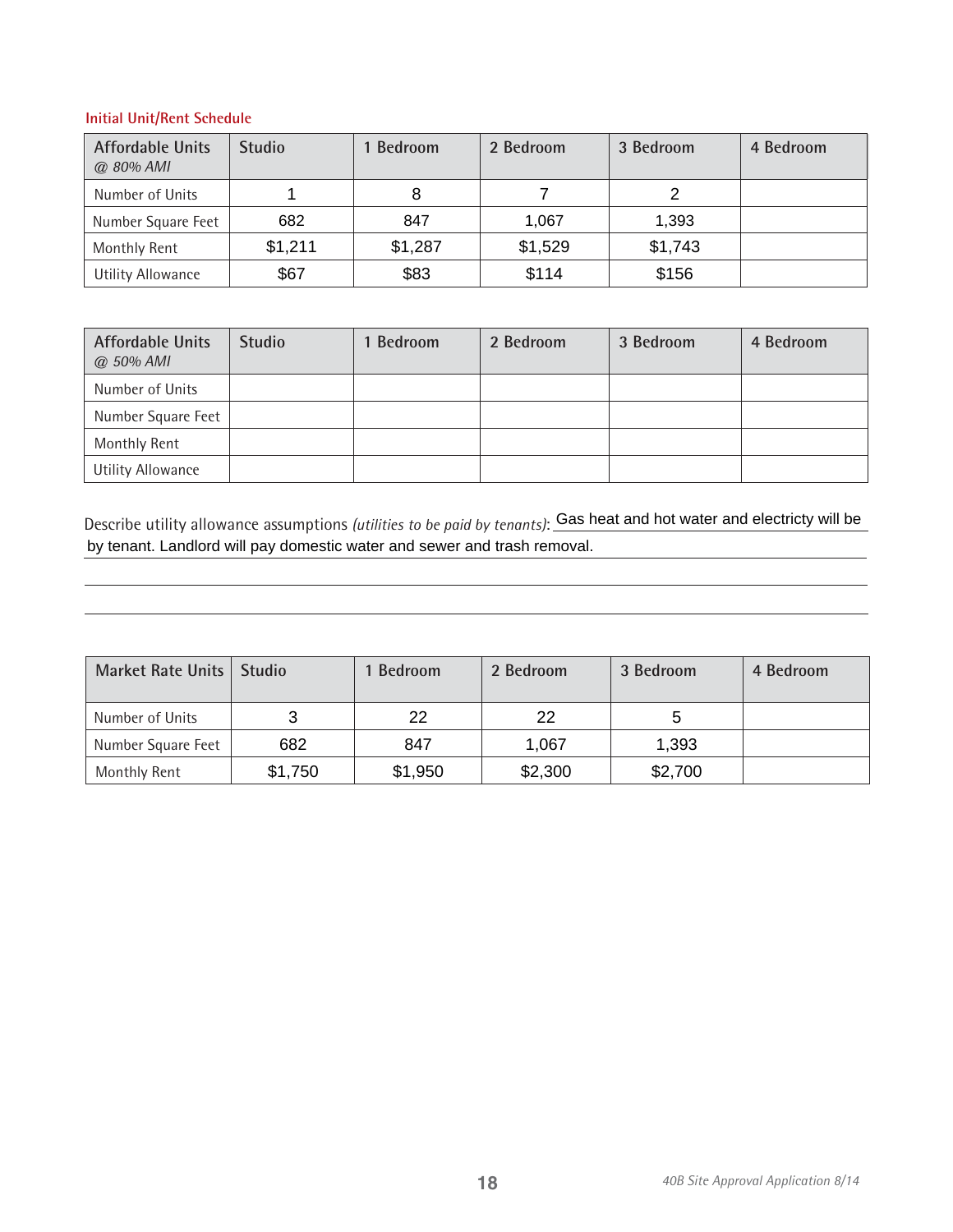#### **Initial Unit/Rent Schedule**

| <b>Affordable Units</b><br>@ 80% AMI | <b>Studio</b> | 1 Bedroom | 2 Bedroom | 3 Bedroom | 4 Bedroom |
|--------------------------------------|---------------|-----------|-----------|-----------|-----------|
| Number of Units                      |               | 8         |           | 2         |           |
| Number Square Feet                   | 682           | 847       | 1,067     | 1.393     |           |
| Monthly Rent                         | \$1,211       | \$1,287   | \$1,529   | \$1,743   |           |
| Utility Allowance                    | \$67          | \$83      | \$114     | \$156     |           |

| <b>Affordable Units</b><br>@ 50% AMI | <b>Studio</b> | 1 Bedroom | 2 Bedroom | 3 Bedroom | 4 Bedroom |
|--------------------------------------|---------------|-----------|-----------|-----------|-----------|
| Number of Units                      |               |           |           |           |           |
| Number Square Feet                   |               |           |           |           |           |
| Monthly Rent                         |               |           |           |           |           |
| <b>Utility Allowance</b>             |               |           |           |           |           |

Describe utility allowance assumptions *(utilities to be paid by tenants)*: Gas heat and hot water and electricty will be by tenant. Landlord will pay domestic water and sewer and trash removal.

| Market Rate Units  | <b>Studio</b> | 1 Bedroom | 2 Bedroom | 3 Bedroom | 4 Bedroom |
|--------------------|---------------|-----------|-----------|-----------|-----------|
| Number of Units    |               | 22        | 22        | 5         |           |
| Number Square Feet | 682           | 847       | 1,067     | 1,393     |           |
| Monthly Rent       | \$1,750       | \$1,950   | \$2,300   | \$2,700   |           |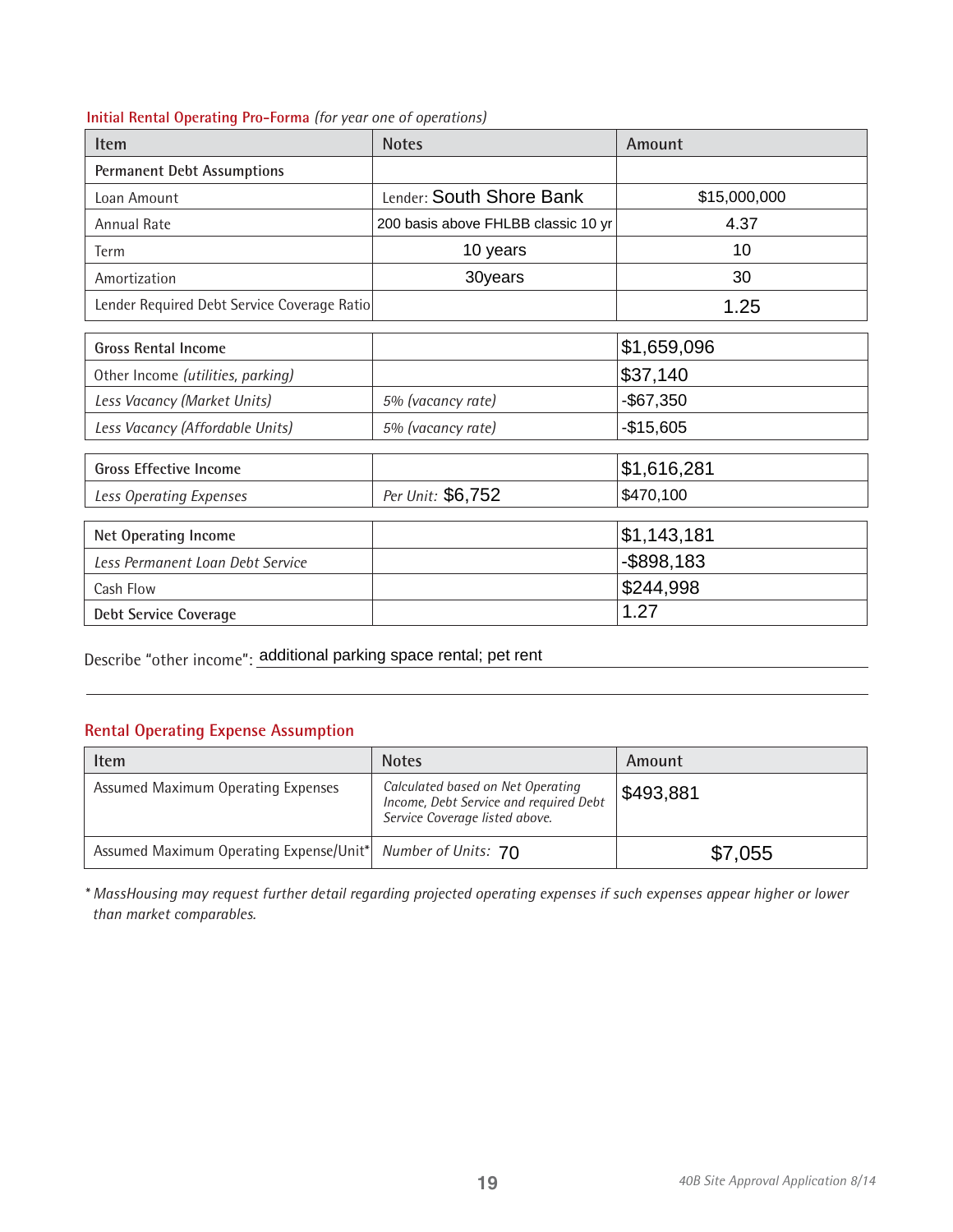|  |  |  |  | Initial Rental Operating Pro-Forma (for year one of operations) |  |
|--|--|--|--|-----------------------------------------------------------------|--|
|--|--|--|--|-----------------------------------------------------------------|--|

| <b>Item</b>                                 | <b>Notes</b>                        | Amount        |
|---------------------------------------------|-------------------------------------|---------------|
| <b>Permanent Debt Assumptions</b>           |                                     |               |
| Loan Amount                                 | Lender: South Shore Bank            | \$15,000,000  |
| Annual Rate                                 | 200 basis above FHLBB classic 10 yr | 4.37          |
| Term                                        | 10 years                            | 10            |
| Amortization                                | 30years                             | 30            |
| Lender Required Debt Service Coverage Ratio |                                     | 1.25          |
| <b>Gross Rental Income</b>                  |                                     | \$1,659,096   |
| Other Income (utilities, parking)           |                                     | \$37,140      |
| Less Vacancy (Market Units)                 | 5% (vacancy rate)                   | $-$67,350$    |
| Less Vacancy (Affordable Units)             | 5% (vacancy rate)                   | $-$15,605$    |
| <b>Gross Effective Income</b>               |                                     | \$1,616,281   |
| Less Operating Expenses                     | Per Unit: \$6,752                   | \$470,100     |
| <b>Net Operating Income</b>                 |                                     | \$1,143,181   |
|                                             |                                     |               |
| Less Permanent Loan Debt Service            |                                     | $-$ \$898,183 |
| Cash Flow                                   |                                     | \$244,998     |
| <b>Debt Service Coverage</b>                |                                     | 1.27          |

Describe "other income": additional parking space rental; pet rent

# **Rental Operating Expense Assumption**

| Item                                                        | <b>Notes</b>                                                                                                  | Amount    |
|-------------------------------------------------------------|---------------------------------------------------------------------------------------------------------------|-----------|
| Assumed Maximum Operating Expenses                          | Calculated based on Net Operating<br>Income, Debt Service and required Debt<br>Service Coverage listed above. | \$493,881 |
| Assumed Maximum Operating Expense/Unit* Number of Units: 70 |                                                                                                               | \$7,055   |

*\* MassHousing may request further detail regarding projected operating expenses if such expenses appear higher or lower than market comparables.*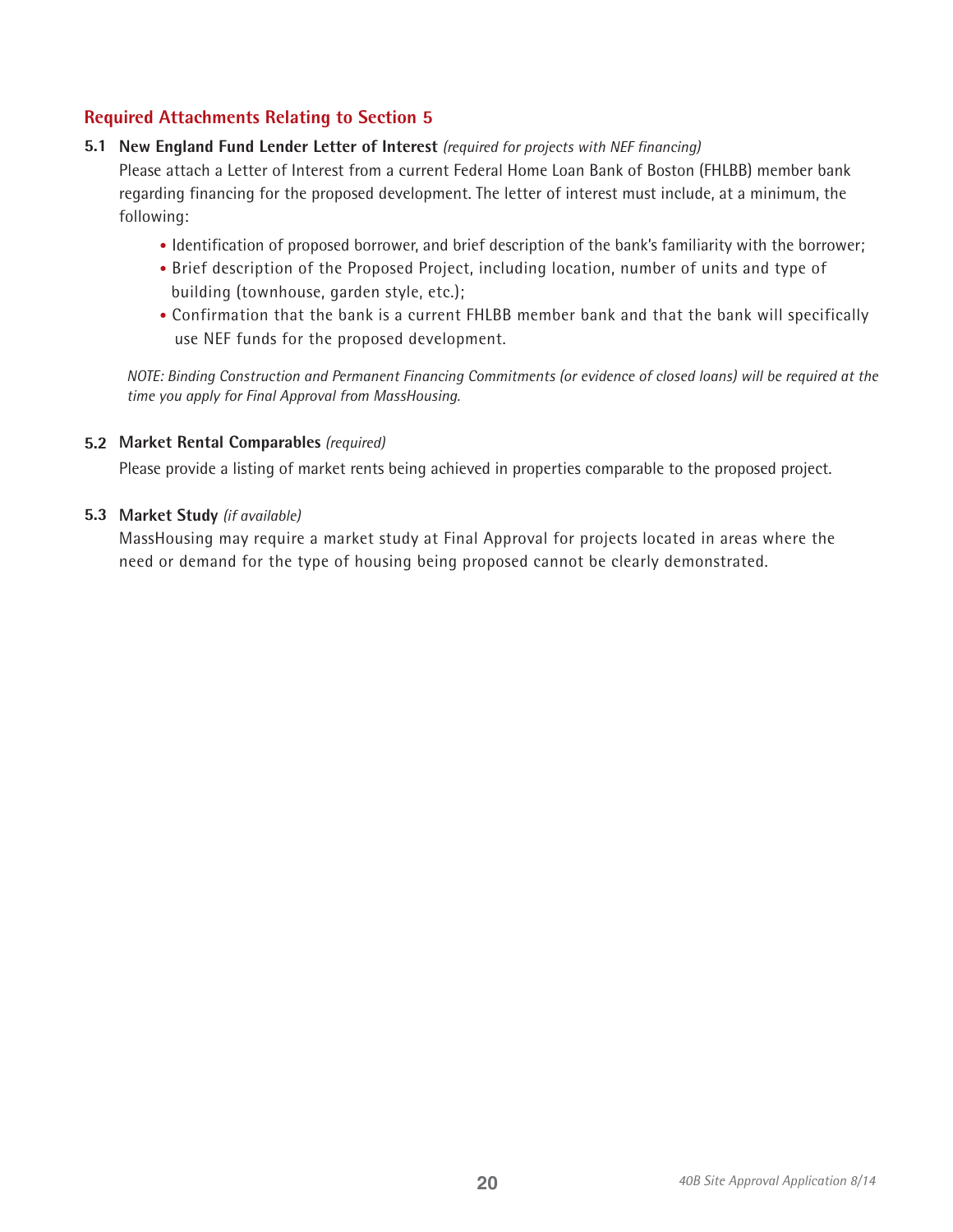# **Required Attachments Relating to Section 5**

### **5.1 New England Fund Lender Letter of Interest** *(required for projects with NEF financing)*

Please attach a Letter of Interest from a current Federal Home Loan Bank of Boston (FHLBB) member bank regarding financing for the proposed development. The letter of interest must include, at a minimum, the following:

- Identification of proposed borrower, and brief description of the bank's familiarity with the borrower;
- Brief description of the Proposed Project, including location, number of units and type of building (townhouse, garden style, etc.);
- Confirmation that the bank is a current FHLBB member bank and that the bank will specifically use NEF funds for the proposed development.

*NOTE: Binding Construction and Permanent Financing Commitments (or evidence of closed loans) will be required at the time you apply for Final Approval from MassHousing.*

### **5.2 Market Rental Comparables** *(required)*

Please provide a listing of market rents being achieved in properties comparable to the proposed project.

### **5.3 Market Study** *(if available)*

MassHousing may require a market study at Final Approval for projects located in areas where the need or demand for the type of housing being proposed cannot be clearly demonstrated.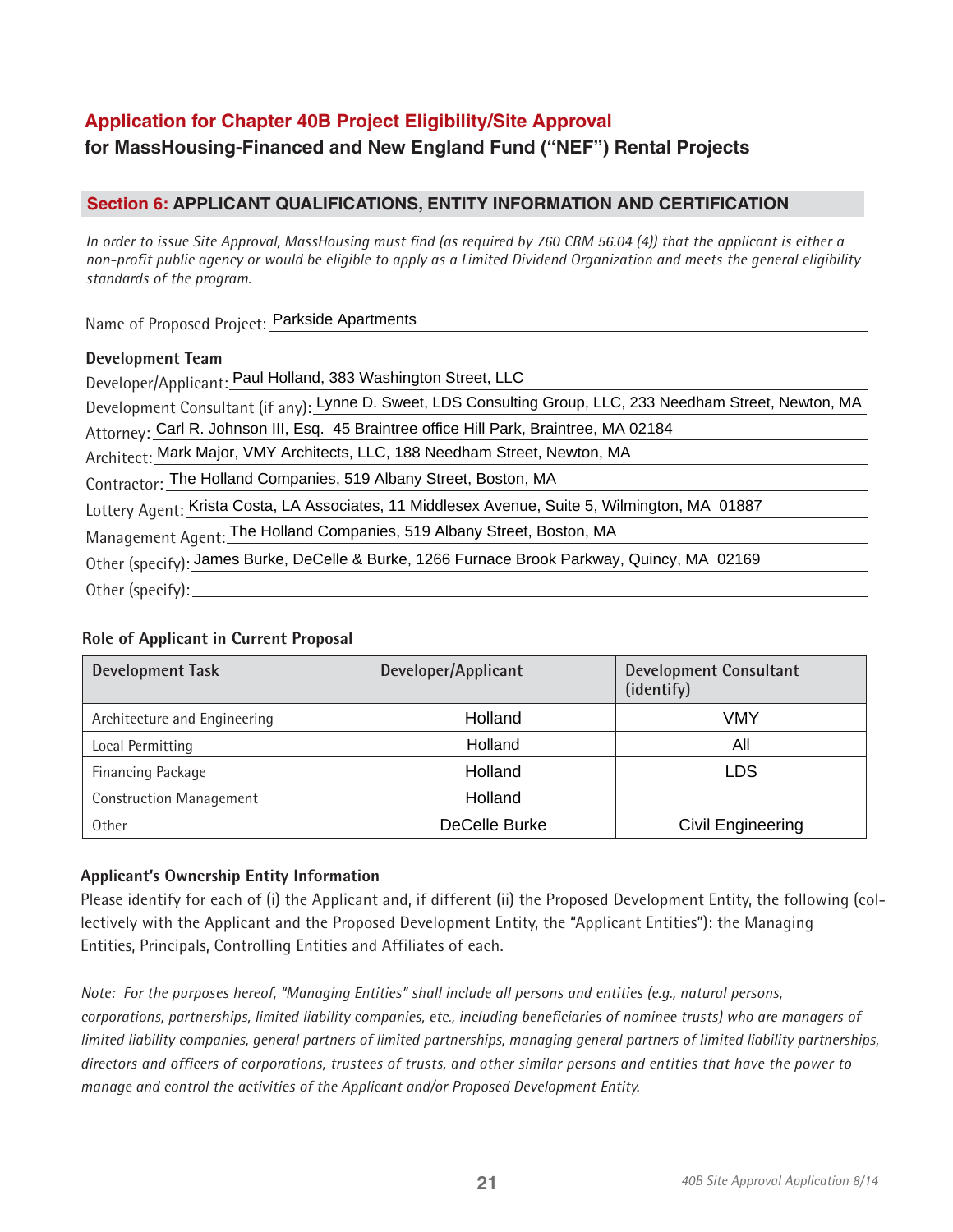# **Application for Chapter 40B Project Eligibility/Site Approval**

# **for MassHousing-Financed and New England Fund ("NEF") Rental Projects**

# **Section 6: APPLICANT QUALIFICATIONS, ENTITY INFORMATION AND CERTIFICATION**

*In order to issue Site Approval, MassHousing must find (as required by 760 CRM 56.04 (4)) that the applicant is either a non-profit public agency or would be eligible to apply as a Limited Dividend Organization and meets the general eligibility standards of the program.*

Name of Proposed Project: Parkside Apartments

### **Development Team**

Developer/Applicant: Paul Holland, 383 Washington Street, LLC

Development Consultant (if any): Lynne D. Sweet, LDS Consulting Group, LLC, 233 Needham Street, Newton, MA

Attorney: Carl R. Johnson III, Esq. 45 Braintree office Hill Park, Braintree, MA 02184

Architect: Mark Major, VMY Architects, LLC, 188 Needham Street, Newton, MA

Contractor: The Holland Companies, 519 Albany Street, Boston, MA

Lottery Agent: Krista Costa, LA Associates, 11 Middlesex Avenue, Suite 5, Wilmington, MA 01887

Management Agent: The Holland Companies, 519 Albany Street, Boston, MA

Other (specify): James Burke, DeCelle & Burke, 1266 Furnace Brook Parkway, Quincy, MA 02169

Other (specify):

# **Role of Applicant in Current Proposal**

| <b>Development Task</b>        | Developer/Applicant | <b>Development Consultant</b><br>(identify) |  |
|--------------------------------|---------------------|---------------------------------------------|--|
| Architecture and Engineering   | Holland             | VMY                                         |  |
| Local Permitting               | Holland             | All                                         |  |
| Financing Package              | Holland             | <b>LDS</b>                                  |  |
| <b>Construction Management</b> | Holland             |                                             |  |
| <b>Other</b>                   | DeCelle Burke       | Civil Engineering                           |  |

# **Applicant's Ownership Entity Information**

Please identify for each of (i) the Applicant and, if different (ii) the Proposed Development Entity, the following (collectively with the Applicant and the Proposed Development Entity, the "Applicant Entities"): the Managing Entities, Principals, Controlling Entities and Affiliates of each.

*Note: For the purposes hereof, "Managing Entities" shall include all persons and entities (e.g., natural persons, corporations, partnerships, limited liability companies, etc., including beneficiaries of nominee trusts) who are managers of limited liability companies, general partners of limited partnerships, managing general partners of limited liability partnerships, directors and officers of corporations, trustees of trusts, and other similar persons and entities that have the power to manage and control the activities of the Applicant and/or Proposed Development Entity.*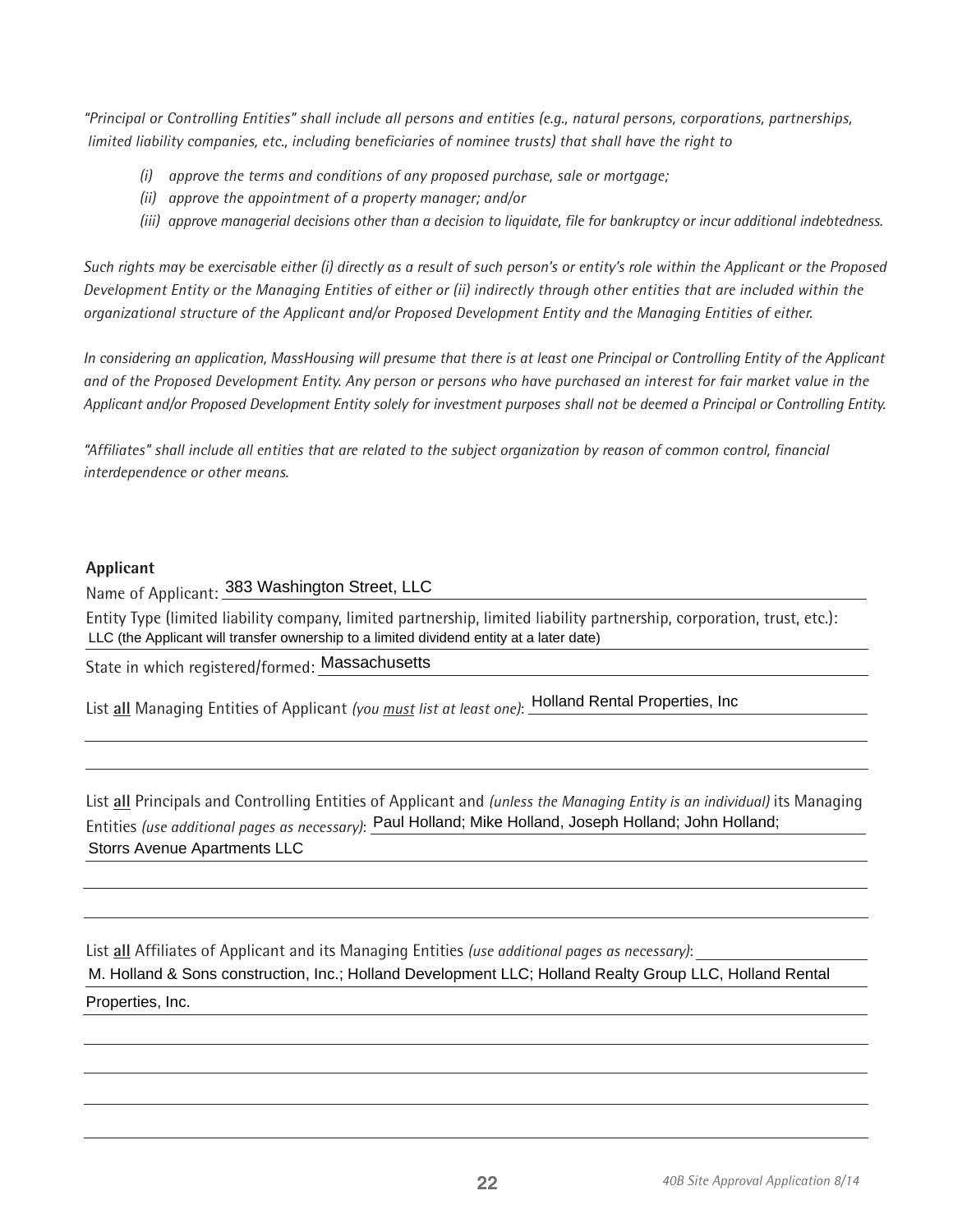*"Principal or Controlling Entities" shall include all persons and entities (e.g., natural persons, corporations, partnerships, limited liability companies, etc., including beneficiaries of nominee trusts) that shall have the right to* 

- *(i) approve the terms and conditions of any proposed purchase, sale or mortgage;*
- *(ii) approve the appointment of a property manager; and/or*
- *(iii) approve managerial decisions other than a decision to liquidate, file for bankruptcy or incur additional indebtedness.*

*Such rights may be exercisable either (i) directly as a result of such person's or entity's role within the Applicant or the Proposed Development Entity or the Managing Entities of either or (ii) indirectly through other entities that are included within the organizational structure of the Applicant and/or Proposed Development Entity and the Managing Entities of either.* 

*In considering an application, MassHousing will presume that there is at least one Principal or Controlling Entity of the Applicant and of the Proposed Development Entity. Any person or persons who have purchased an interest for fair market value in the Applicant and/or Proposed Development Entity solely for investment purposes shall not be deemed a Principal or Controlling Entity.* 

*"Affiliates" shall include all entities that are related to the subject organization by reason of common control, financial interdependence or other means.* 

#### **Applicant**

Name of Applicant: 383 Washington Street, LLC

Entity Type (limited liability company, limited partnership, limited liability partnership, corporation, trust, etc.): LLC (the Applicant will transfer ownership to a limited dividend entity at a later date)

State in which registered/formed: Massachusetts

List **all** Managing Entities of Applicant *(you must list at least one)*: Holland Rental Properties, Inc

List **all** Principals and Controlling Entities of Applicant and *(unless the Managing Entity is an individual)* its Managing Entities *(use additional pages as necessary)*: Paul Holland; Mike Holland, Joseph Holland; John Holland;<br>Storrs Avenue Apartments LLC

List **all** Affiliates of Applicant and its Managing Entities *(use additional pages as necessary)*: M. Holland & Sons construction, Inc.; Holland Development LLC; Holland Realty Group LLC, Holland Rental Properties, Inc.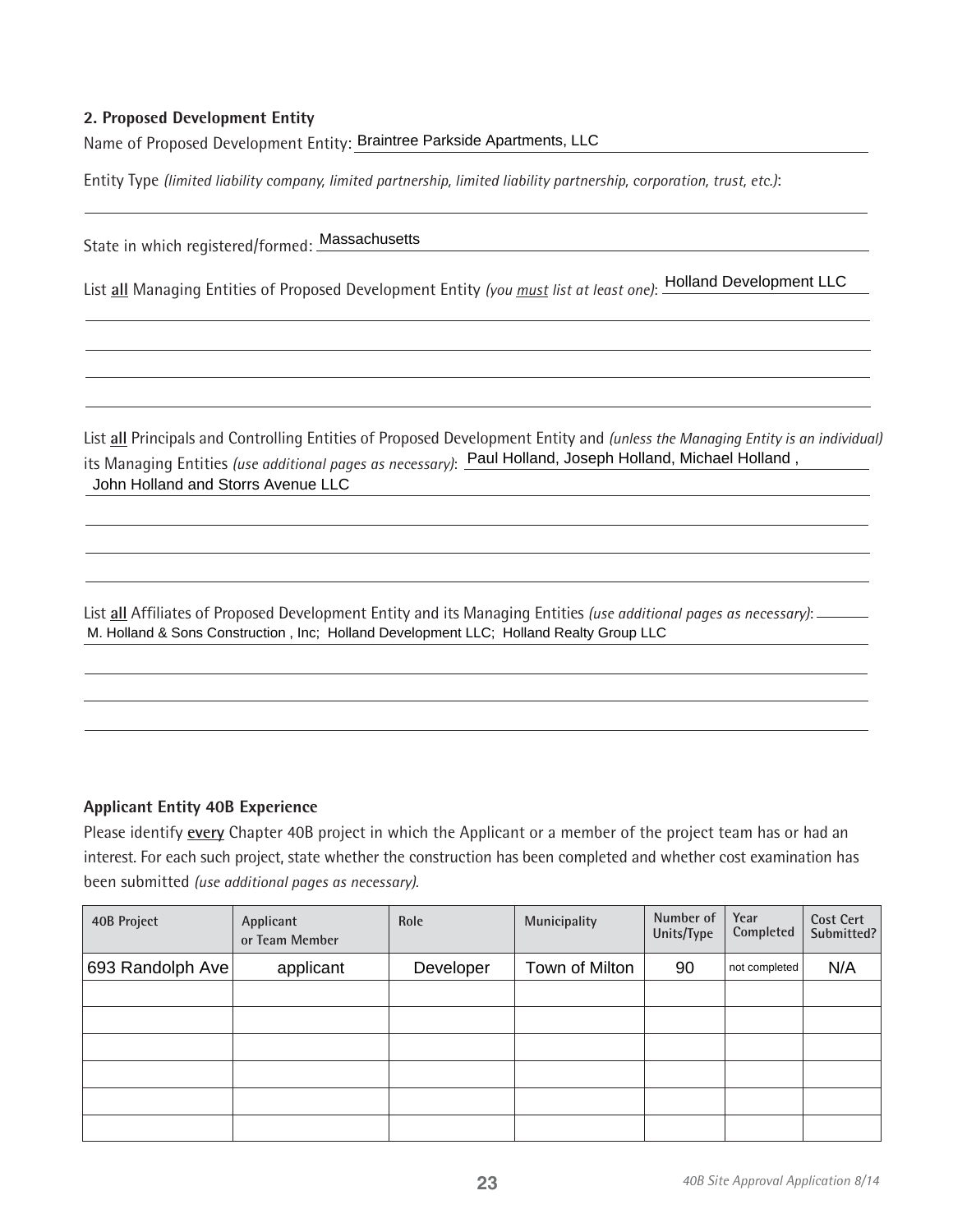### **2. Proposed Development Entity**

Name of Proposed Development Entity: Braintree Parkside Apartments, LLC

Entity Type *(limited liability company, limited partnership, limited liability partnership, corporation, trust, etc.)*:

State in which registered/formed: Massachusetts

List **all** Managing Entities of Proposed Development Entity *(you must list at least one)*: Holland Development LLC

List **all** Principals and Controlling Entities of Proposed Development Entity and *(unless the Managing Entity is an individual)* its Managing Entities *(use additional pages as necessary)*: <u>Paul Holland, Joseph Holland, Michael Holland ,</u><br>John Holland and Storrs Avenue LLC

List **all** Affiliates of Proposed Development Entity and its Managing Entities *(use additional pages as necessary)*: M. Holland & Sons Construction , Inc; Holland Development LLC; Holland Realty Group LLC

#### **Applicant Entity 40B Experience**

Please identify **every** Chapter 40B project in which the Applicant or a member of the project team has or had an interest. For each such project, state whether the construction has been completed and whether cost examination has been submitted *(use additional pages as necessary).*

| 40B Project      | Applicant<br>or Team Member | Role      | Municipality   | Number of<br>Units/Type | Year<br>Completed | <b>Cost Cert</b><br>Submitted? |
|------------------|-----------------------------|-----------|----------------|-------------------------|-------------------|--------------------------------|
| 693 Randolph Ave | applicant                   | Developer | Town of Milton | 90                      | not completed     | N/A                            |
|                  |                             |           |                |                         |                   |                                |
|                  |                             |           |                |                         |                   |                                |
|                  |                             |           |                |                         |                   |                                |
|                  |                             |           |                |                         |                   |                                |
|                  |                             |           |                |                         |                   |                                |
|                  |                             |           |                |                         |                   |                                |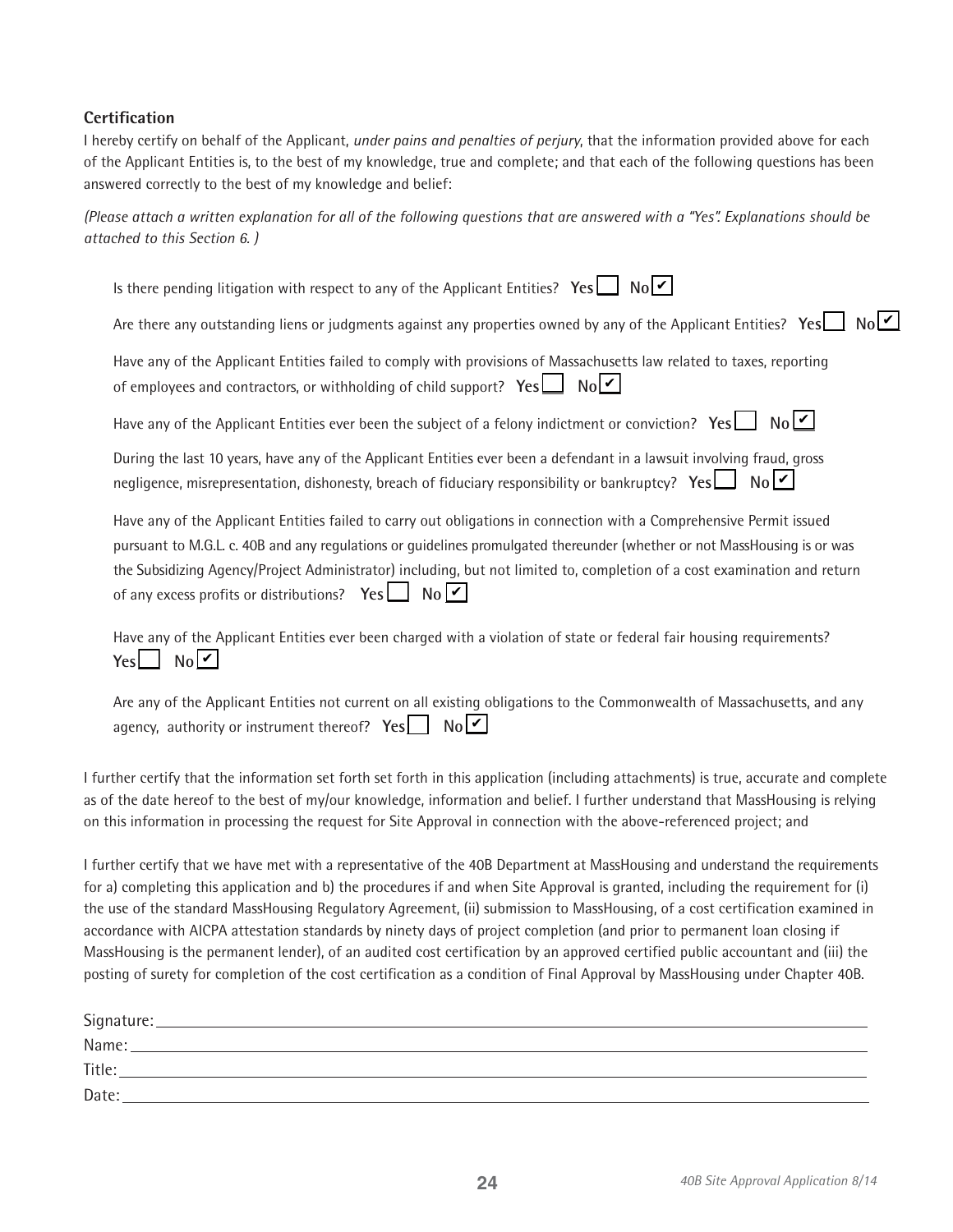# **Certification**

I hereby certify on behalf of the Applicant, *under pains and penalties of perjury*, that the information provided above for each of the Applicant Entities is, to the best of my knowledge, true and complete; and that each of the following questions has been answered correctly to the best of my knowledge and belief:

*(Please attach a written explanation for all of the following questions that are answered with a "Yes". Explanations should be attached to this Section 6. )*

| Is there pending litigation with respect to any of the Applicant Entities? Yes $\Box$ No $\Box$                                                                                                                                                                                                                                                                                                                                                           |
|-----------------------------------------------------------------------------------------------------------------------------------------------------------------------------------------------------------------------------------------------------------------------------------------------------------------------------------------------------------------------------------------------------------------------------------------------------------|
| $N_0[\overline{V}]$<br>Are there any outstanding liens or judgments against any properties owned by any of the Applicant Entities? Yes                                                                                                                                                                                                                                                                                                                    |
| Have any of the Applicant Entities failed to comply with provisions of Massachusetts law related to taxes, reporting<br>$N_0$<br>of employees and contractors, or withholding of child support? $Yes$                                                                                                                                                                                                                                                     |
| No<br>Have any of the Applicant Entities ever been the subject of a felony indictment or conviction? $Yes \Box$                                                                                                                                                                                                                                                                                                                                           |
| During the last 10 years, have any of the Applicant Entities ever been a defendant in a lawsuit involving fraud, gross<br>negligence, misrepresentation, dishonesty, breach of fiduciary responsibility or bankruptcy? Yes<br>$N_0$ $V$                                                                                                                                                                                                                   |
| Have any of the Applicant Entities failed to carry out obligations in connection with a Comprehensive Permit issued<br>pursuant to M.G.L. c. 40B and any regulations or guidelines promulgated thereunder (whether or not MassHousing is or was<br>the Subsidizing Agency/Project Administrator) including, but not limited to, completion of a cost examination and return<br>$\mathsf{No}[\mathbf{v}]$<br>of any excess profits or distributions? $Yes$ |

Have any of the Applicant Entities ever been charged with a violation of state or federal fair housing requirements? Yes∟ No∣<mark>✔</mark>

| Are any of the Applicant Entities not current on all existing obligations to the Commonwealth of Massachusetts, and any |  |  |  |
|-------------------------------------------------------------------------------------------------------------------------|--|--|--|
| agency, authority or instrument thereof? $Yes \Box No \Box$                                                             |  |  |  |

I further certify that the information set forth set forth in this application (including attachments) is true, accurate and complete as of the date hereof to the best of my/our knowledge, information and belief. I further understand that MassHousing is relying on this information in processing the request for Site Approval in connection with the above-referenced project; and

I further certify that we have met with a representative of the 40B Department at MassHousing and understand the requirements for a) completing this application and b) the procedures if and when Site Approval is granted, including the requirement for (i) the use of the standard MassHousing Regulatory Agreement, (ii) submission to MassHousing, of a cost certification examined in accordance with AICPA attestation standards by ninety days of project completion (and prior to permanent loan closing if MassHousing is the permanent lender), of an audited cost certification by an approved certified public accountant and (iii) the posting of surety for completion of the cost certification as a condition of Final Approval by MassHousing under Chapter 40B.

| Signature: |  |
|------------|--|
| Name:      |  |
| Title:     |  |
| Date:      |  |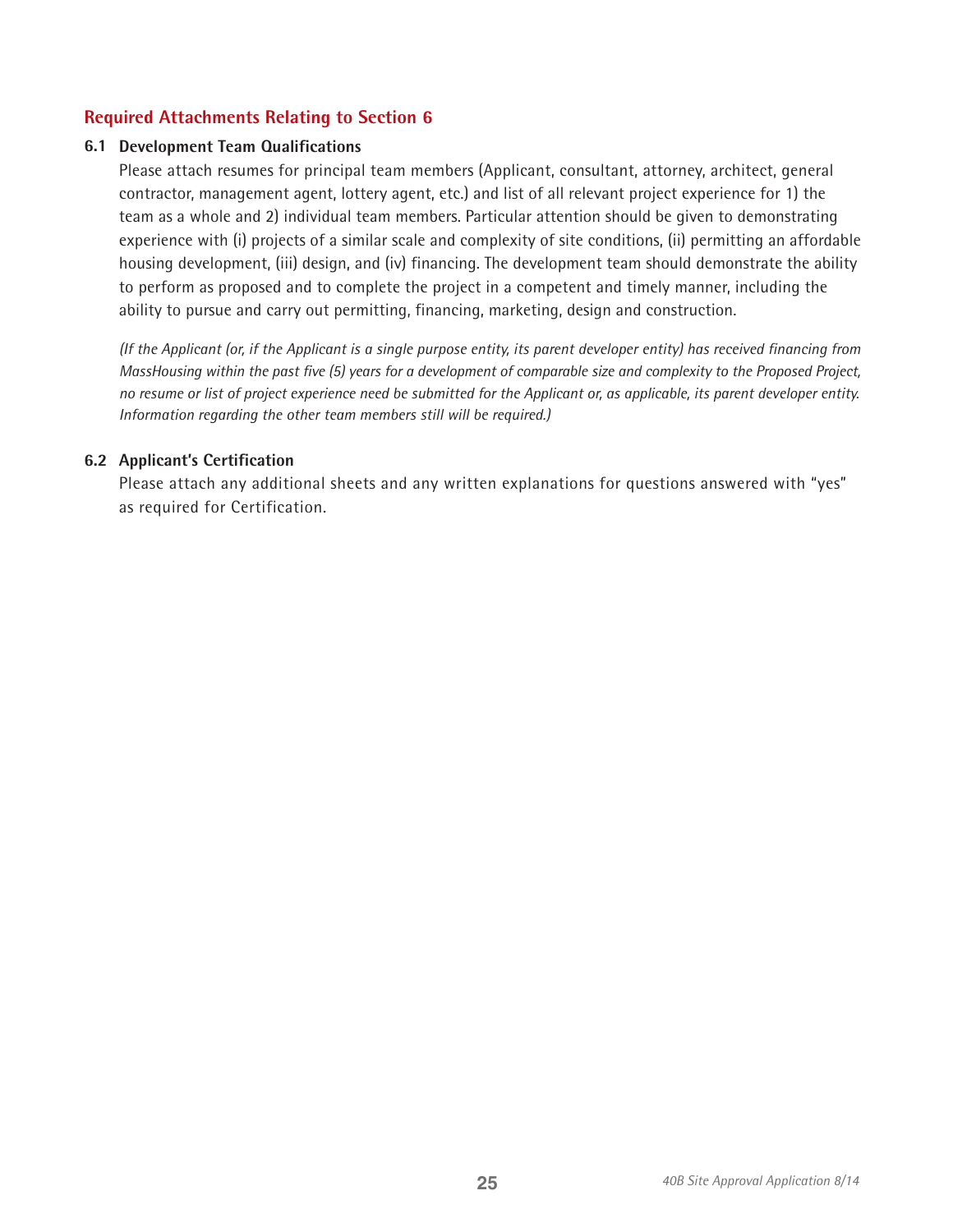# **Required Attachments Relating to Section 6**

### **6.1 Development Team Qualifications**

Please attach resumes for principal team members (Applicant, consultant, attorney, architect, general contractor, management agent, lottery agent, etc.) and list of all relevant project experience for 1) the team as a whole and 2) individual team members. Particular attention should be given to demonstrating experience with (i) projects of a similar scale and complexity of site conditions, (ii) permitting an affordable housing development, (iii) design, and (iv) financing. The development team should demonstrate the ability to perform as proposed and to complete the project in a competent and timely manner, including the ability to pursue and carry out permitting, financing, marketing, design and construction.

*(If the Applicant (or, if the Applicant is a single purpose entity, its parent developer entity) has received financing from MassHousing within the past five (5) years for a development of comparable size and complexity to the Proposed Project, no resume or list of project experience need be submitted for the Applicant or, as applicable, its parent developer entity. Information regarding the other team members still will be required.)*

### **6.2 Applicant's Certification**

Please attach any additional sheets and any written explanations for questions answered with "yes" as required for Certification.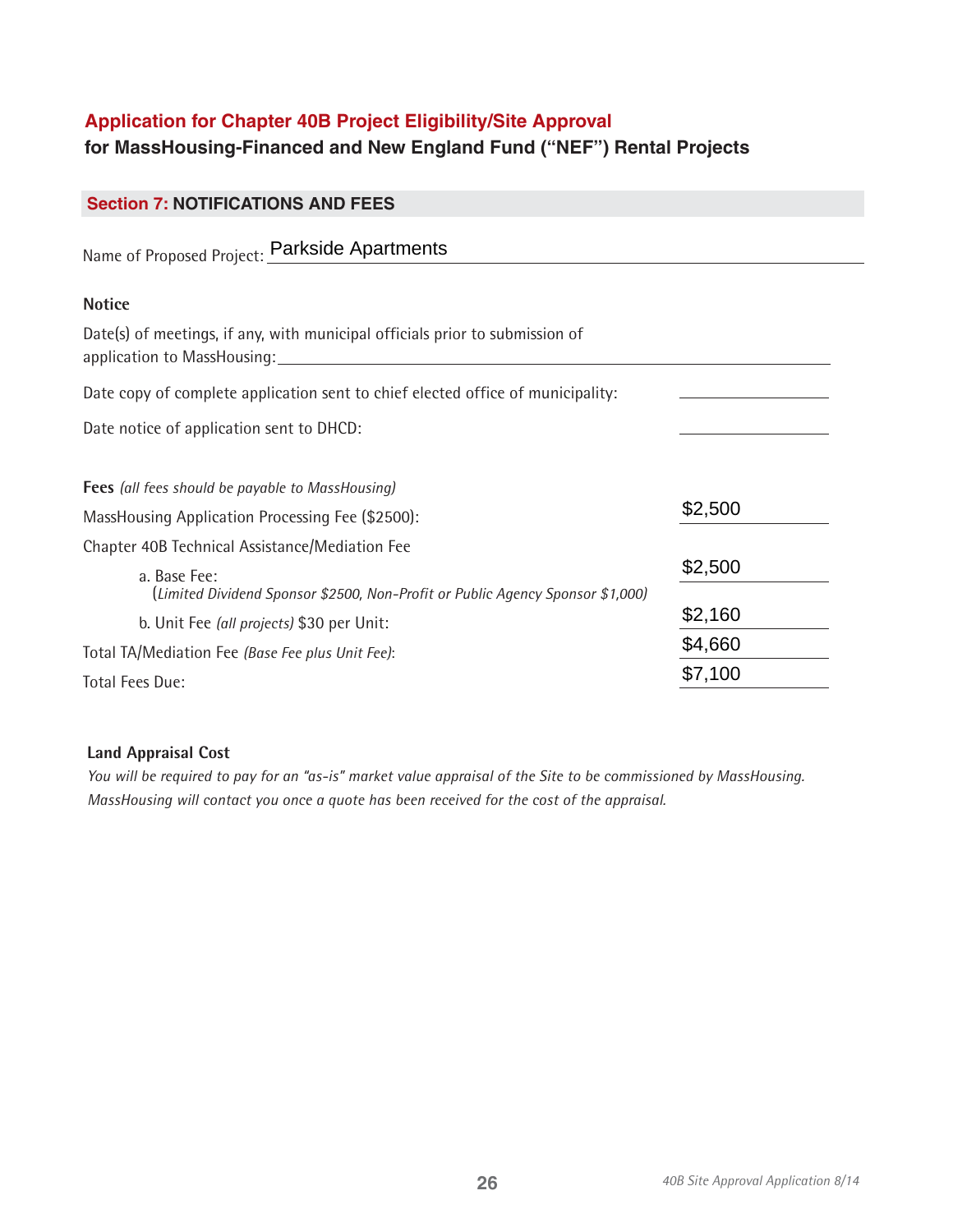# **Application for Chapter 40B Project Eligibility/Site Approval**

# **for MassHousing-Financed and New England Fund ("NEF") Rental Projects**

| <b>Section 7: NOTIFICATIONS AND FEES</b>                                                                    |         |
|-------------------------------------------------------------------------------------------------------------|---------|
| Name of Proposed Project: Parkside Apartments                                                               |         |
| <b>Notice</b>                                                                                               |         |
| Date(s) of meetings, if any, with municipal officials prior to submission of<br>application to MassHousing: |         |
| Date copy of complete application sent to chief elected office of municipality:                             |         |
| Date notice of application sent to DHCD:                                                                    |         |
| Fees (all fees should be payable to MassHousing)                                                            |         |
| MassHousing Application Processing Fee (\$2500):                                                            | \$2,500 |
| Chapter 40B Technical Assistance/Mediation Fee                                                              |         |
| a. Base Fee:<br>(Limited Dividend Sponsor \$2500, Non-Profit or Public Agency Sponsor \$1,000)              | \$2,500 |
| b. Unit Fee (all projects) \$30 per Unit:                                                                   | \$2,160 |
| Total TA/Mediation Fee (Base Fee plus Unit Fee):                                                            | \$4,660 |
| Total Fees Due:                                                                                             | \$7,100 |

# **Land Appraisal Cost**

*You will be required to pay for an "as-is" market value appraisal of the Site to be commissioned by MassHousing. MassHousing will contact you once a quote has been received for the cost of the appraisal.*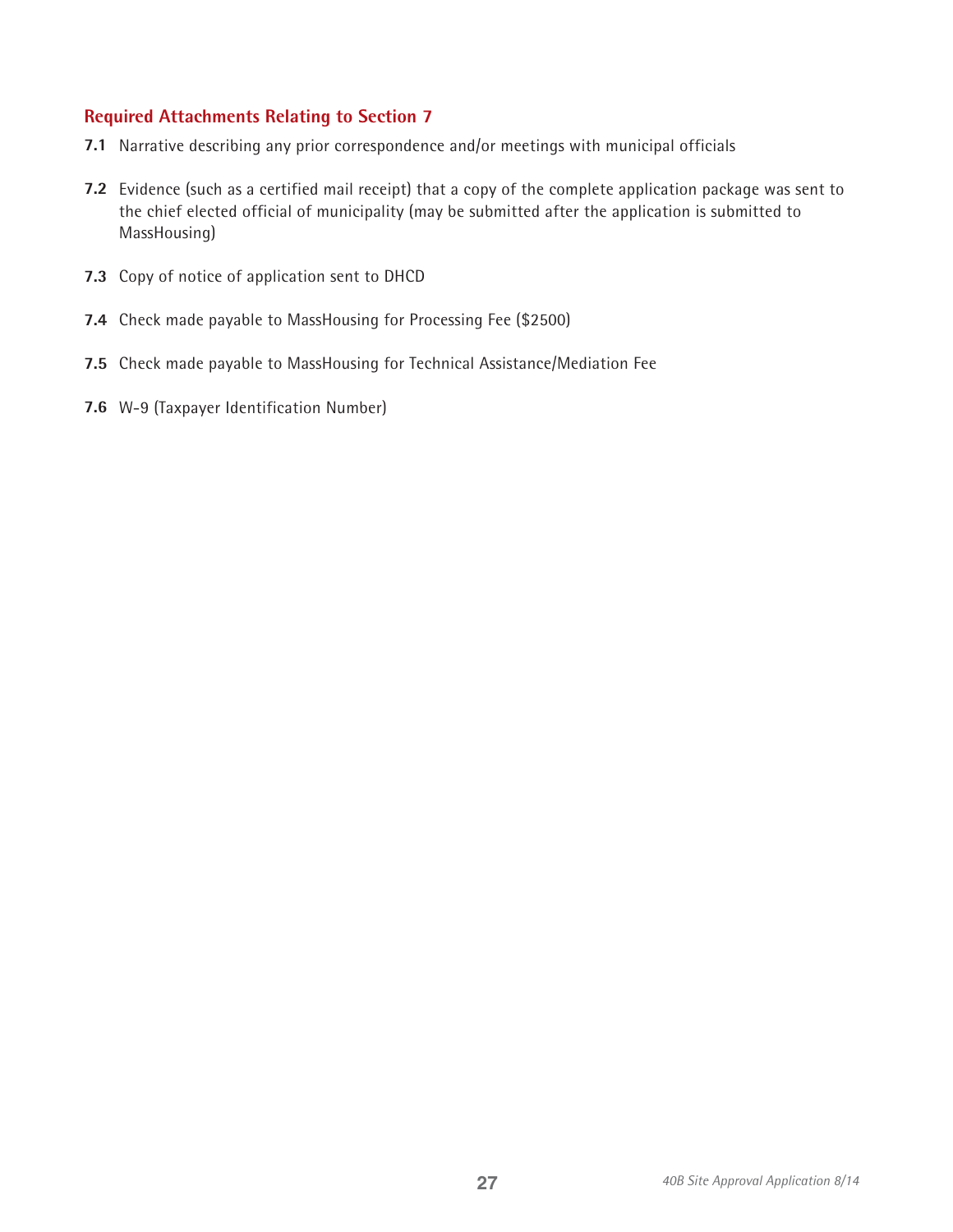# **Required Attachments Relating to Section 7**

- **7.1**  Narrative describing any prior correspondence and/or meetings with municipal officials
- **7.2** Evidence (such as a certified mail receipt) that a copy of the complete application package was sent to the chief elected official of municipality (may be submitted after the application is submitted to MassHousing)
- **7.3** Copy of notice of application sent to DHCD
- **7.4** Check made payable to MassHousing for Processing Fee (\$2500)
- **7.5** Check made payable to MassHousing for Technical Assistance/Mediation Fee
- **7.6** W-9 (Taxpayer Identification Number)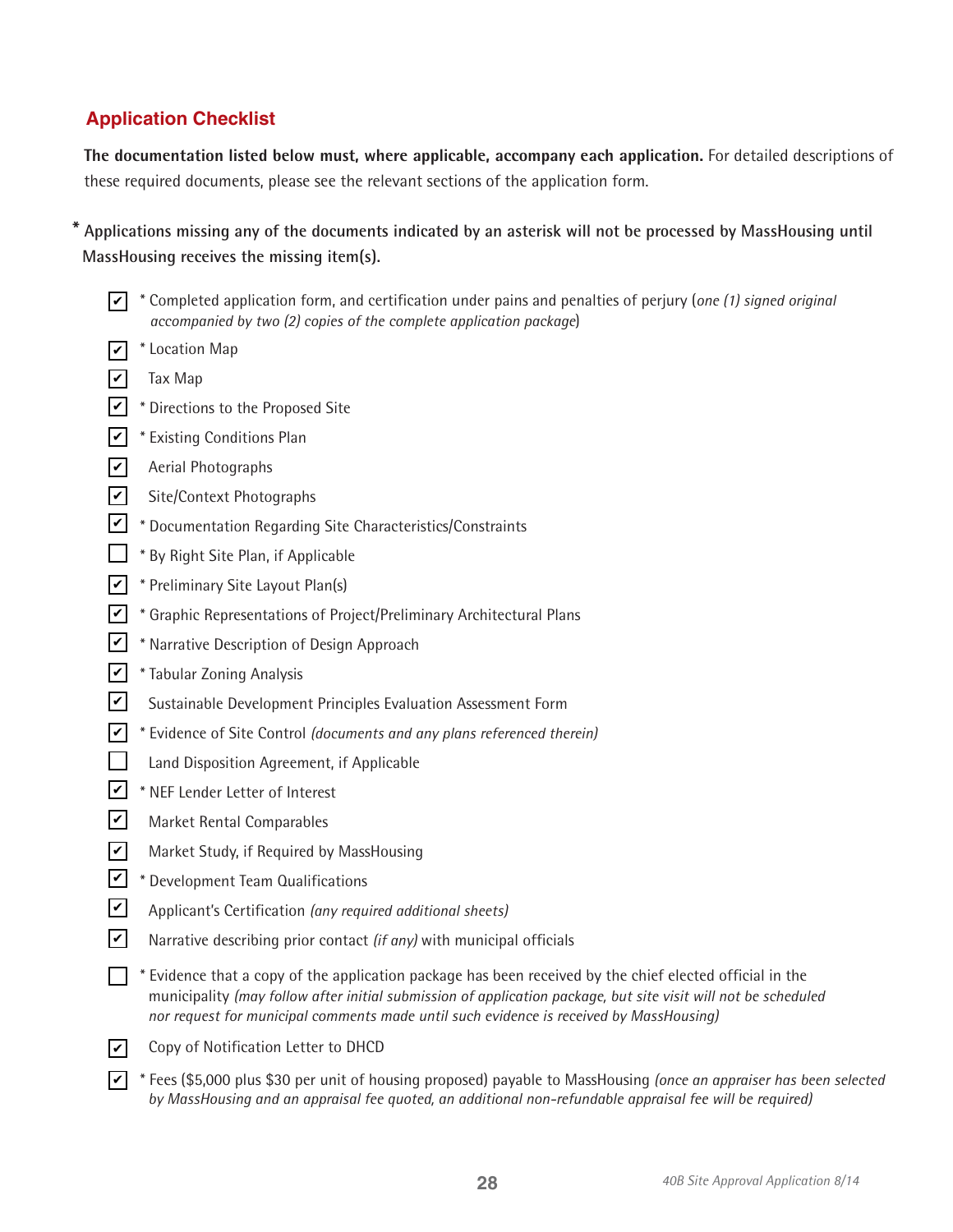# **Application Checklist**

**The documentation listed below must, where applicable, accompany each application.** For detailed descriptions of these required documents, please see the relevant sections of the application form.

**\* Applications missing any of the documents indicated by an asterisk will not be processed by MassHousing until MassHousing receives the missing item(s).** 

- \* Completed application form, and certification under pains and penalties of perjury (*one (1) signed original*  ✔ *accompanied by two (2) copies of the complete application package*)
- $\triangledown$  \* Location Map
- $\angle$  Tax Map
- $\angle$  \* Directions to the Proposed Site
- $\angle$  \* Existing Conditions Plan
- $\vee$  Aerial Photographs
- $\angle$  Site/Context Photographs
- $\angle$  \* Documentation Regarding Site Characteristics/Constraints
- $\Box$  \* By Right Site Plan, if Applicable
- $\angle$  \* Preliminary Site Layout Plan(s)
- $\angle$  \* Graphic Representations of Project/Preliminary Architectural Plans
- $\angle$  \* Narrative Description of Design Approach
- $\angle$  \* Tabular Zoning Analysis
- Sustainable Development Principles Evaluation Assessment Form  $|v|$
- \* Evidence of Site Control *(documents and any plans referenced therein)*  ✔
- $\Box$ Land Disposition Agreement, if Applicable
- $\angle$  \* NEF Lender Letter of Interest
- Market Rental Comparables
- Market Study, if Required by MassHousing  $\overline{\mathcal{V}}$
- $\angle$  \* Development Team Qualifications
- Applicant's Certification *(any required additional sheets)*  $|v|$
- Narrative describing prior contact *(if any)* with municipal officials  $\vert\bm{\triangledown}\vert$
- $\Box$  \* Evidence that a copy of the application package has been received by the chief elected official in the municipality *(may follow after initial submission of application package, but site visit will not be scheduled nor request for municipal comments made until such evidence is received by MassHousing)*
- $\triangledown$  Copy of Notification Letter to DHCD
- \* Fees (\$5,000 plus \$30 per unit of housing proposed) payable to MassHousing *(once an appraiser has been selected*  ✔*by MassHousing and an appraisal fee quoted, an additional non-refundable appraisal fee will be required)*